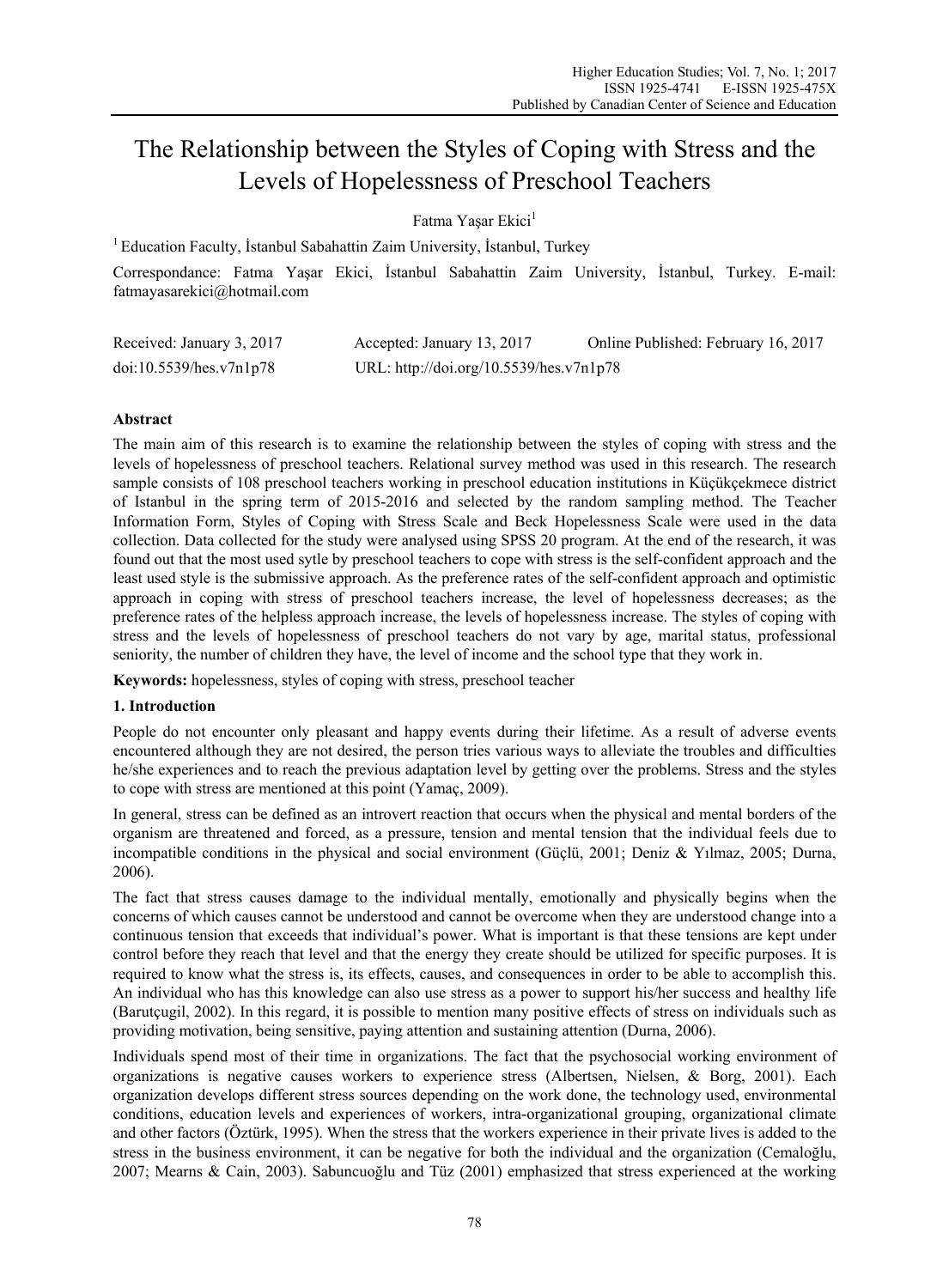# The Relationship between the Styles of Coping with Stress and the Levels of Hopelessness of Preschool Teachers

Fatma Yasar Ekici<sup>1</sup>

<sup>1</sup> Education Faculty, İstanbul Sabahattin Zaim University, İstanbul, Turkey

Correspondance: Fatma Yaşar Ekici, İstanbul Sabahattin Zaim University, İstanbul, Turkey. E-mail: fatmayasarekici@hotmail.com

| Received: January 3, 2017 | Accepted: January 13, 2017              | Online Published: February 16, 2017 |
|---------------------------|-----------------------------------------|-------------------------------------|
| doi:10.5539/hes.v7n1p78   | URL: http://doi.org/10.5539/hes.v7n1p78 |                                     |

## **Abstract**

The main aim of this research is to examine the relationship between the styles of coping with stress and the levels of hopelessness of preschool teachers. Relational survey method was used in this research. The research sample consists of 108 preschool teachers working in preschool education institutions in Küçükçekmece district of Istanbul in the spring term of 2015-2016 and selected by the random sampling method. The Teacher Information Form, Styles of Coping with Stress Scale and Beck Hopelessness Scale were used in the data collection. Data collected for the study were analysed using SPSS 20 program. At the end of the research, it was found out that the most used sytle by preschool teachers to cope with stress is the self-confident approach and the least used style is the submissive approach. As the preference rates of the self-confident approach and optimistic approach in coping with stress of preschool teachers increase, the level of hopelessness decreases; as the preference rates of the helpless approach increase, the levels of hopelessness increase. The styles of coping with stress and the levels of hopelessness of preschool teachers do not vary by age, marital status, professional seniority, the number of children they have, the level of income and the school type that they work in.

**Keywords:** hopelessness, styles of coping with stress, preschool teacher

## **1. Introduction**

People do not encounter only pleasant and happy events during their lifetime. As a result of adverse events encountered although they are not desired, the person tries various ways to alleviate the troubles and difficulties he/she experiences and to reach the previous adaptation level by getting over the problems. Stress and the styles to cope with stress are mentioned at this point (Yamaç, 2009).

In general, stress can be defined as an introvert reaction that occurs when the physical and mental borders of the organism are threatened and forced, as a pressure, tension and mental tension that the individual feels due to incompatible conditions in the physical and social environment (Güçlü, 2001; Deniz & Yılmaz, 2005; Durna, 2006).

The fact that stress causes damage to the individual mentally, emotionally and physically begins when the concerns of which causes cannot be understood and cannot be overcome when they are understood change into a continuous tension that exceeds that individual's power. What is important is that these tensions are kept under control before they reach that level and that the energy they create should be utilized for specific purposes. It is required to know what the stress is, its effects, causes, and consequences in order to be able to accomplish this. An individual who has this knowledge can also use stress as a power to support his/her success and healthy life (Barutçugil, 2002). In this regard, it is possible to mention many positive effects of stress on individuals such as providing motivation, being sensitive, paying attention and sustaining attention (Durna, 2006).

Individuals spend most of their time in organizations. The fact that the psychosocial working environment of organizations is negative causes workers to experience stress (Albertsen, Nielsen, & Borg, 2001). Each organization develops different stress sources depending on the work done, the technology used, environmental conditions, education levels and experiences of workers, intra-organizational grouping, organizational climate and other factors (Öztürk, 1995). When the stress that the workers experience in their private lives is added to the stress in the business environment, it can be negative for both the individual and the organization (Cemaloğlu, 2007; Mearns & Cain, 2003). Sabuncuoğlu and Tüz (2001) emphasized that stress experienced at the working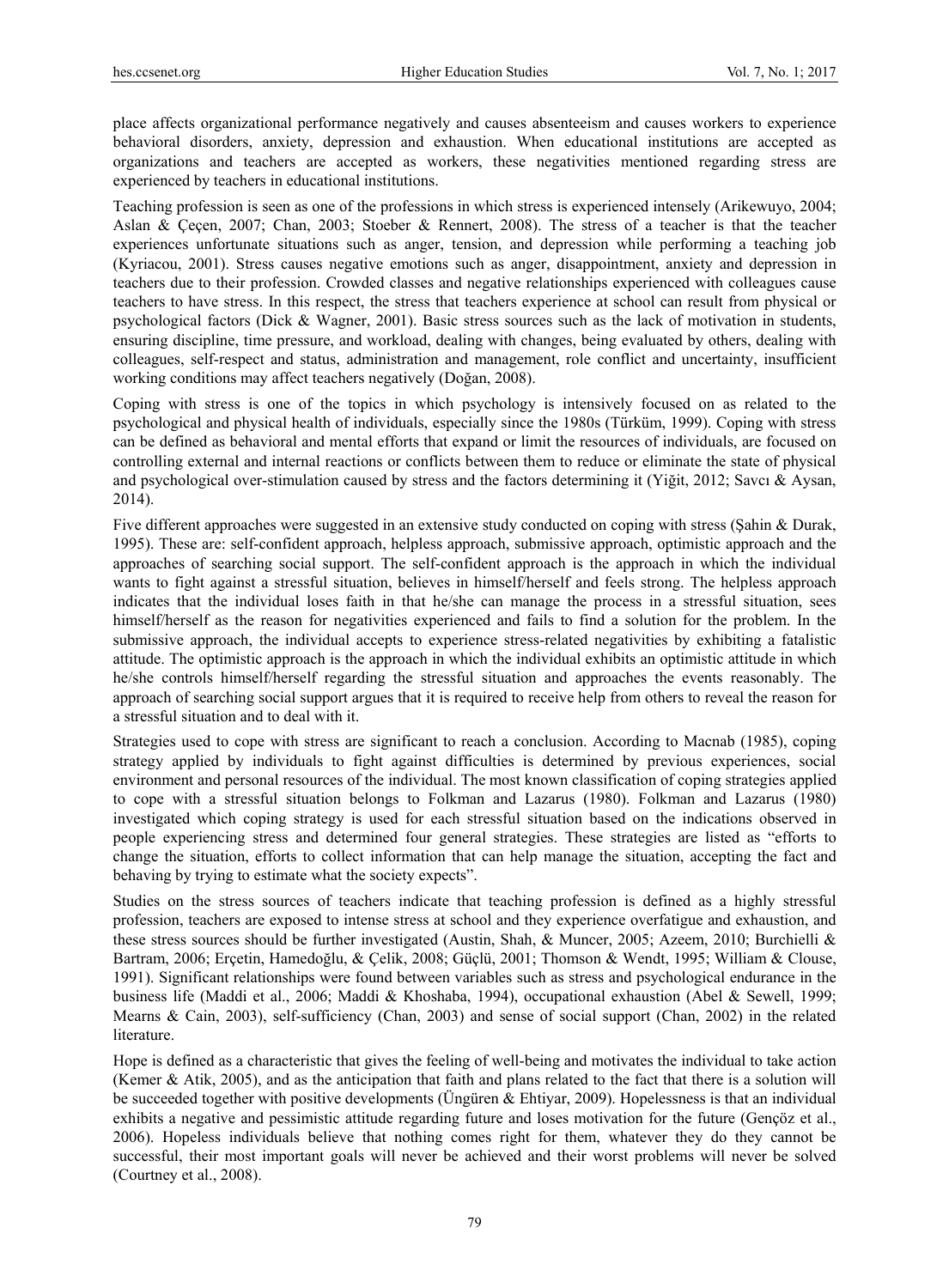place affects organizational performance negatively and causes absenteeism and causes workers to experience behavioral disorders, anxiety, depression and exhaustion. When educational institutions are accepted as organizations and teachers are accepted as workers, these negativities mentioned regarding stress are experienced by teachers in educational institutions.

Teaching profession is seen as one of the professions in which stress is experienced intensely (Arikewuyo, 2004; Aslan & Çeçen, 2007; Chan, 2003; Stoeber & Rennert, 2008). The stress of a teacher is that the teacher experiences unfortunate situations such as anger, tension, and depression while performing a teaching job (Kyriacou, 2001). Stress causes negative emotions such as anger, disappointment, anxiety and depression in teachers due to their profession. Crowded classes and negative relationships experienced with colleagues cause teachers to have stress. In this respect, the stress that teachers experience at school can result from physical or psychological factors (Dick & Wagner, 2001). Basic stress sources such as the lack of motivation in students, ensuring discipline, time pressure, and workload, dealing with changes, being evaluated by others, dealing with colleagues, self-respect and status, administration and management, role conflict and uncertainty, insufficient working conditions may affect teachers negatively (Doğan, 2008).

Coping with stress is one of the topics in which psychology is intensively focused on as related to the psychological and physical health of individuals, especially since the 1980s (Türküm, 1999). Coping with stress can be defined as behavioral and mental efforts that expand or limit the resources of individuals, are focused on controlling external and internal reactions or conflicts between them to reduce or eliminate the state of physical and psychological over-stimulation caused by stress and the factors determining it (Yiğit, 2012; Savcı & Aysan, 2014).

Five different approaches were suggested in an extensive study conducted on coping with stress (Şahin & Durak, 1995). These are: self-confident approach, helpless approach, submissive approach, optimistic approach and the approaches of searching social support. The self-confident approach is the approach in which the individual wants to fight against a stressful situation, believes in himself/herself and feels strong. The helpless approach indicates that the individual loses faith in that he/she can manage the process in a stressful situation, sees himself/herself as the reason for negativities experienced and fails to find a solution for the problem. In the submissive approach, the individual accepts to experience stress-related negativities by exhibiting a fatalistic attitude. The optimistic approach is the approach in which the individual exhibits an optimistic attitude in which he/she controls himself/herself regarding the stressful situation and approaches the events reasonably. The approach of searching social support argues that it is required to receive help from others to reveal the reason for a stressful situation and to deal with it.

Strategies used to cope with stress are significant to reach a conclusion. According to Macnab (1985), coping strategy applied by individuals to fight against difficulties is determined by previous experiences, social environment and personal resources of the individual. The most known classification of coping strategies applied to cope with a stressful situation belongs to Folkman and Lazarus (1980). Folkman and Lazarus (1980) investigated which coping strategy is used for each stressful situation based on the indications observed in people experiencing stress and determined four general strategies. These strategies are listed as "efforts to change the situation, efforts to collect information that can help manage the situation, accepting the fact and behaving by trying to estimate what the society expects".

Studies on the stress sources of teachers indicate that teaching profession is defined as a highly stressful profession, teachers are exposed to intense stress at school and they experience overfatigue and exhaustion, and these stress sources should be further investigated (Austin, Shah, & Muncer, 2005; Azeem, 2010; Burchielli & Bartram, 2006; Erçetin, Hamedoğlu, & Çelik, 2008; Güçlü, 2001; Thomson & Wendt, 1995; William & Clouse, 1991). Significant relationships were found between variables such as stress and psychological endurance in the business life (Maddi et al., 2006; Maddi & Khoshaba, 1994), occupational exhaustion (Abel & Sewell, 1999; Mearns & Cain, 2003), self-sufficiency (Chan, 2003) and sense of social support (Chan, 2002) in the related literature.

Hope is defined as a characteristic that gives the feeling of well-being and motivates the individual to take action (Kemer & Atik, 2005), and as the anticipation that faith and plans related to the fact that there is a solution will be succeeded together with positive developments (Üngüren & Ehtiyar, 2009). Hopelessness is that an individual exhibits a negative and pessimistic attitude regarding future and loses motivation for the future (Gençöz et al., 2006). Hopeless individuals believe that nothing comes right for them, whatever they do they cannot be successful, their most important goals will never be achieved and their worst problems will never be solved (Courtney et al., 2008).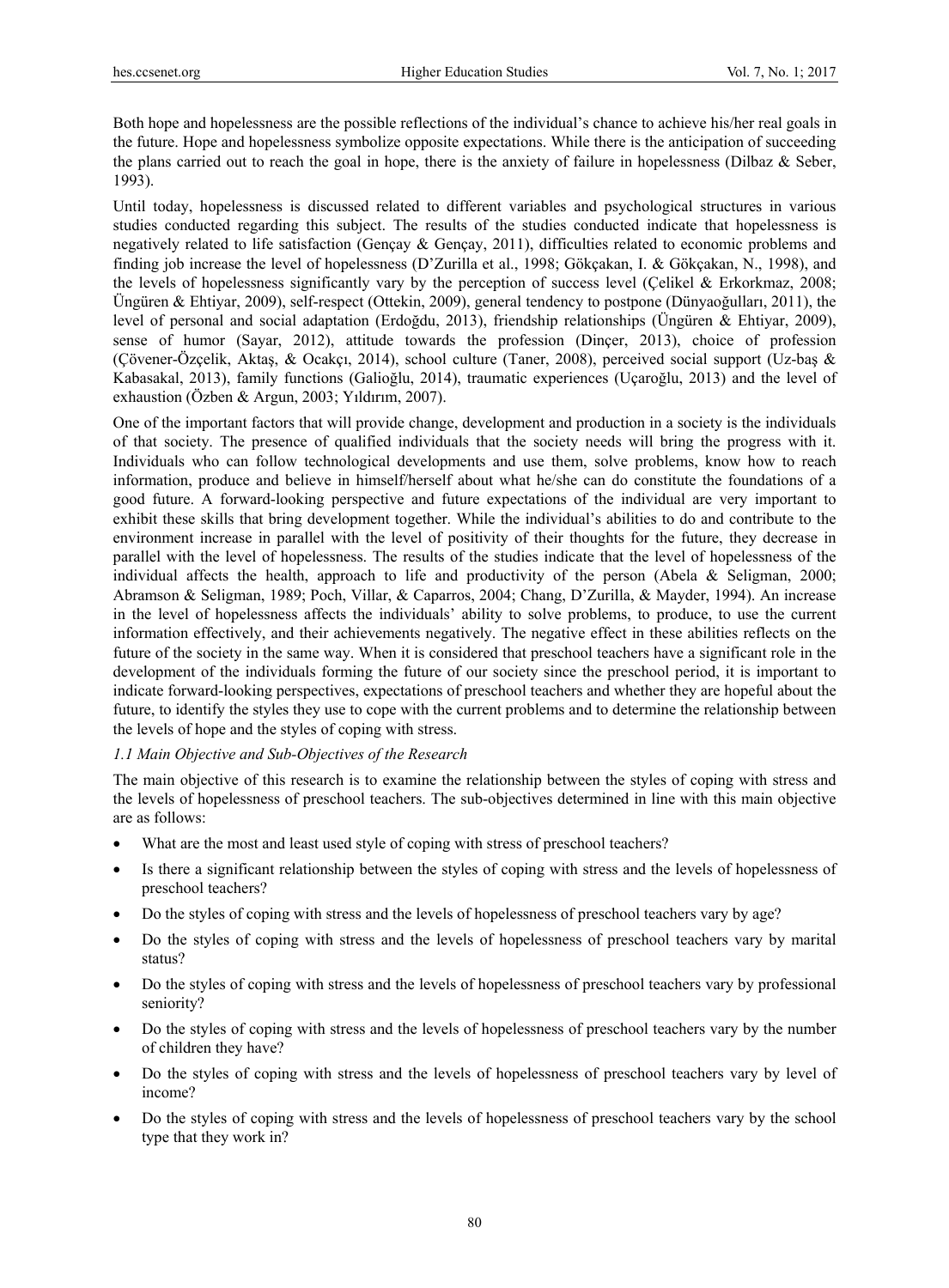Both hope and hopelessness are the possible reflections of the individual's chance to achieve his/her real goals in the future. Hope and hopelessness symbolize opposite expectations. While there is the anticipation of succeeding the plans carried out to reach the goal in hope, there is the anxiety of failure in hopelessness (Dilbaz  $\&$  Seber, 1993).

Until today, hopelessness is discussed related to different variables and psychological structures in various studies conducted regarding this subject. The results of the studies conducted indicate that hopelessness is negatively related to life satisfaction (Gençay & Gençay, 2011), difficulties related to economic problems and finding job increase the level of hopelessness (D'Zurilla et al., 1998; Gökçakan, I. & Gökçakan, N., 1998), and the levels of hopelessness significantly vary by the perception of success level (Çelikel & Erkorkmaz, 2008; Üngüren & Ehtiyar, 2009), self-respect (Ottekin, 2009), general tendency to postpone (Dünyaoğulları, 2011), the level of personal and social adaptation (Erdoğdu, 2013), friendship relationships (Üngüren & Ehtiyar, 2009), sense of humor (Sayar, 2012), attitude towards the profession (Dinçer, 2013), choice of profession (Çövener-Özçelik, Aktaş, & Ocakçı, 2014), school culture (Taner, 2008), perceived social support (Uz-baş & Kabasakal, 2013), family functions (Galioğlu, 2014), traumatic experiences (Uçaroğlu, 2013) and the level of exhaustion (Özben & Argun, 2003; Yıldırım, 2007).

One of the important factors that will provide change, development and production in a society is the individuals of that society. The presence of qualified individuals that the society needs will bring the progress with it. Individuals who can follow technological developments and use them, solve problems, know how to reach information, produce and believe in himself/herself about what he/she can do constitute the foundations of a good future. A forward-looking perspective and future expectations of the individual are very important to exhibit these skills that bring development together. While the individual's abilities to do and contribute to the environment increase in parallel with the level of positivity of their thoughts for the future, they decrease in parallel with the level of hopelessness. The results of the studies indicate that the level of hopelessness of the individual affects the health, approach to life and productivity of the person (Abela & Seligman, 2000; Abramson & Seligman, 1989; Poch, Villar, & Caparros, 2004; Chang, D'Zurilla, & Mayder, 1994). An increase in the level of hopelessness affects the individuals' ability to solve problems, to produce, to use the current information effectively, and their achievements negatively. The negative effect in these abilities reflects on the future of the society in the same way. When it is considered that preschool teachers have a significant role in the development of the individuals forming the future of our society since the preschool period, it is important to indicate forward-looking perspectives, expectations of preschool teachers and whether they are hopeful about the future, to identify the styles they use to cope with the current problems and to determine the relationship between the levels of hope and the styles of coping with stress.

#### *1.1 Main Objective and Sub-Objectives of the Research*

The main objective of this research is to examine the relationship between the styles of coping with stress and the levels of hopelessness of preschool teachers. The sub-objectives determined in line with this main objective are as follows:

- What are the most and least used style of coping with stress of preschool teachers?
- Is there a significant relationship between the styles of coping with stress and the levels of hopelessness of preschool teachers?
- Do the styles of coping with stress and the levels of hopelessness of preschool teachers vary by age?
- Do the styles of coping with stress and the levels of hopelessness of preschool teachers vary by marital status?
- Do the styles of coping with stress and the levels of hopelessness of preschool teachers vary by professional seniority?
- Do the styles of coping with stress and the levels of hopelessness of preschool teachers vary by the number of children they have?
- Do the styles of coping with stress and the levels of hopelessness of preschool teachers vary by level of income?
- Do the styles of coping with stress and the levels of hopelessness of preschool teachers vary by the school type that they work in?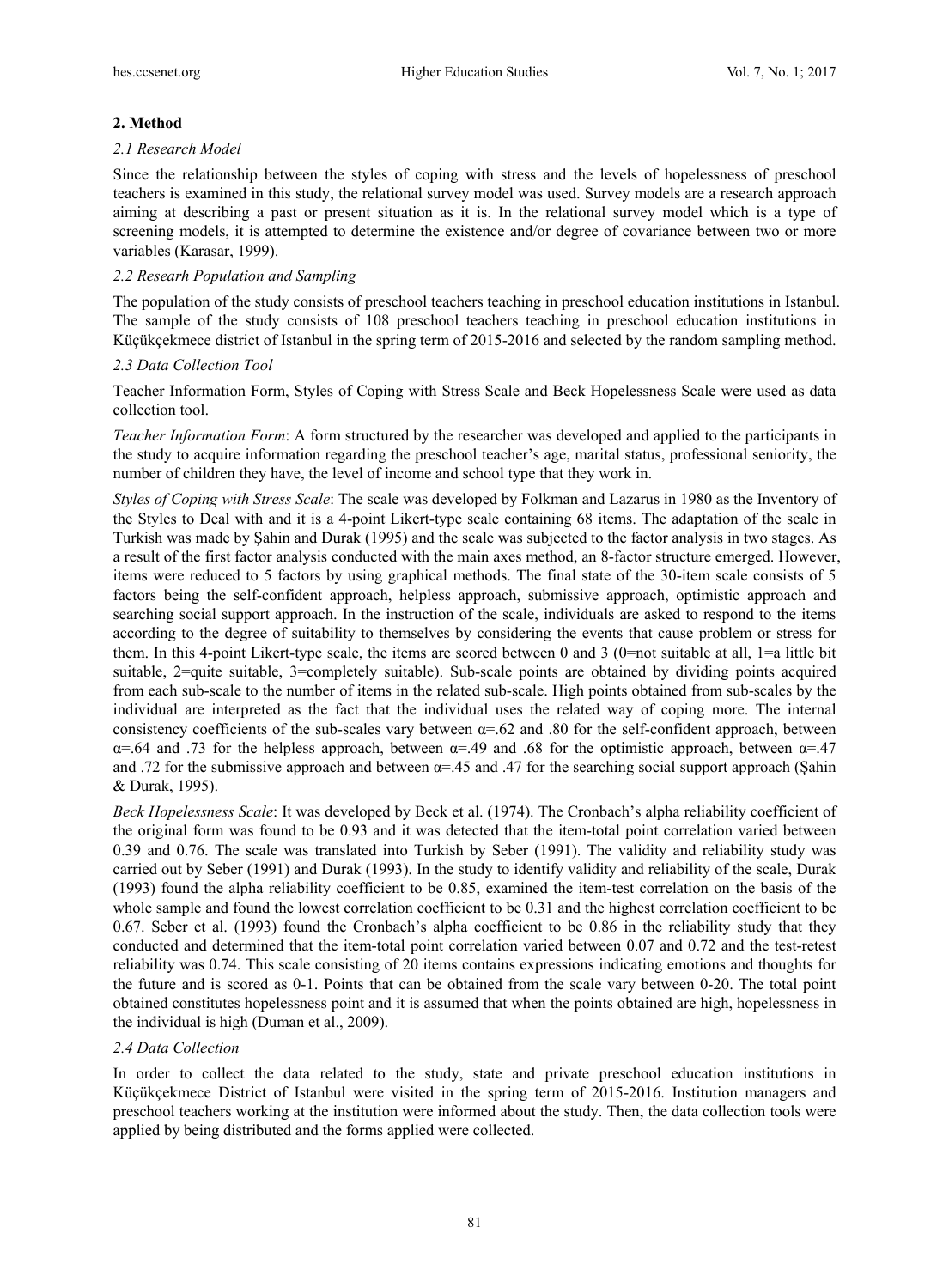# **2. Method**

# *2.1 Research Model*

Since the relationship between the styles of coping with stress and the levels of hopelessness of preschool teachers is examined in this study, the relational survey model was used. Survey models are a research approach aiming at describing a past or present situation as it is. In the relational survey model which is a type of screening models, it is attempted to determine the existence and/or degree of covariance between two or more variables (Karasar, 1999).

# *2.2 Researh Population and Sampling*

The population of the study consists of preschool teachers teaching in preschool education institutions in Istanbul. The sample of the study consists of 108 preschool teachers teaching in preschool education institutions in Küçükçekmece district of Istanbul in the spring term of 2015-2016 and selected by the random sampling method.

# *2.3 Data Collection Tool*

Teacher Information Form, Styles of Coping with Stress Scale and Beck Hopelessness Scale were used as data collection tool.

*Teacher Information Form*: A form structured by the researcher was developed and applied to the participants in the study to acquire information regarding the preschool teacher's age, marital status, professional seniority, the number of children they have, the level of income and school type that they work in.

*Styles of Coping with Stress Scale*: The scale was developed by Folkman and Lazarus in 1980 as the Inventory of the Styles to Deal with and it is a 4-point Likert-type scale containing 68 items. The adaptation of the scale in Turkish was made by Şahin and Durak (1995) and the scale was subjected to the factor analysis in two stages. As a result of the first factor analysis conducted with the main axes method, an 8-factor structure emerged. However, items were reduced to 5 factors by using graphical methods. The final state of the 30-item scale consists of 5 factors being the self-confident approach, helpless approach, submissive approach, optimistic approach and searching social support approach. In the instruction of the scale, individuals are asked to respond to the items according to the degree of suitability to themselves by considering the events that cause problem or stress for them. In this 4-point Likert-type scale, the items are scored between 0 and 3 (0=not suitable at all, 1=a little bit suitable, 2=quite suitable, 3=completely suitable). Sub-scale points are obtained by dividing points acquired from each sub-scale to the number of items in the related sub-scale. High points obtained from sub-scales by the individual are interpreted as the fact that the individual uses the related way of coping more. The internal consistency coefficients of the sub-scales vary between  $\alpha$ =.62 and .80 for the self-confident approach, between α=.64 and .73 for the helpless approach, between α=.49 and .68 for the optimistic approach, between α=.47 and .72 for the submissive approach and between α=.45 and .47 for the searching social support approach (Şahin & Durak, 1995).

*Beck Hopelessness Scale*: It was developed by Beck et al. (1974). The Cronbach's alpha reliability coefficient of the original form was found to be 0.93 and it was detected that the item-total point correlation varied between 0.39 and 0.76. The scale was translated into Turkish by Seber (1991). The validity and reliability study was carried out by Seber (1991) and Durak (1993). In the study to identify validity and reliability of the scale, Durak (1993) found the alpha reliability coefficient to be 0.85, examined the item-test correlation on the basis of the whole sample and found the lowest correlation coefficient to be 0.31 and the highest correlation coefficient to be 0.67. Seber et al. (1993) found the Cronbach's alpha coefficient to be 0.86 in the reliability study that they conducted and determined that the item-total point correlation varied between 0.07 and 0.72 and the test-retest reliability was 0.74. This scale consisting of 20 items contains expressions indicating emotions and thoughts for the future and is scored as 0-1. Points that can be obtained from the scale vary between 0-20. The total point obtained constitutes hopelessness point and it is assumed that when the points obtained are high, hopelessness in the individual is high (Duman et al., 2009).

## *2.4 Data Collection*

In order to collect the data related to the study, state and private preschool education institutions in Küçükçekmece District of Istanbul were visited in the spring term of 2015-2016. Institution managers and preschool teachers working at the institution were informed about the study. Then, the data collection tools were applied by being distributed and the forms applied were collected.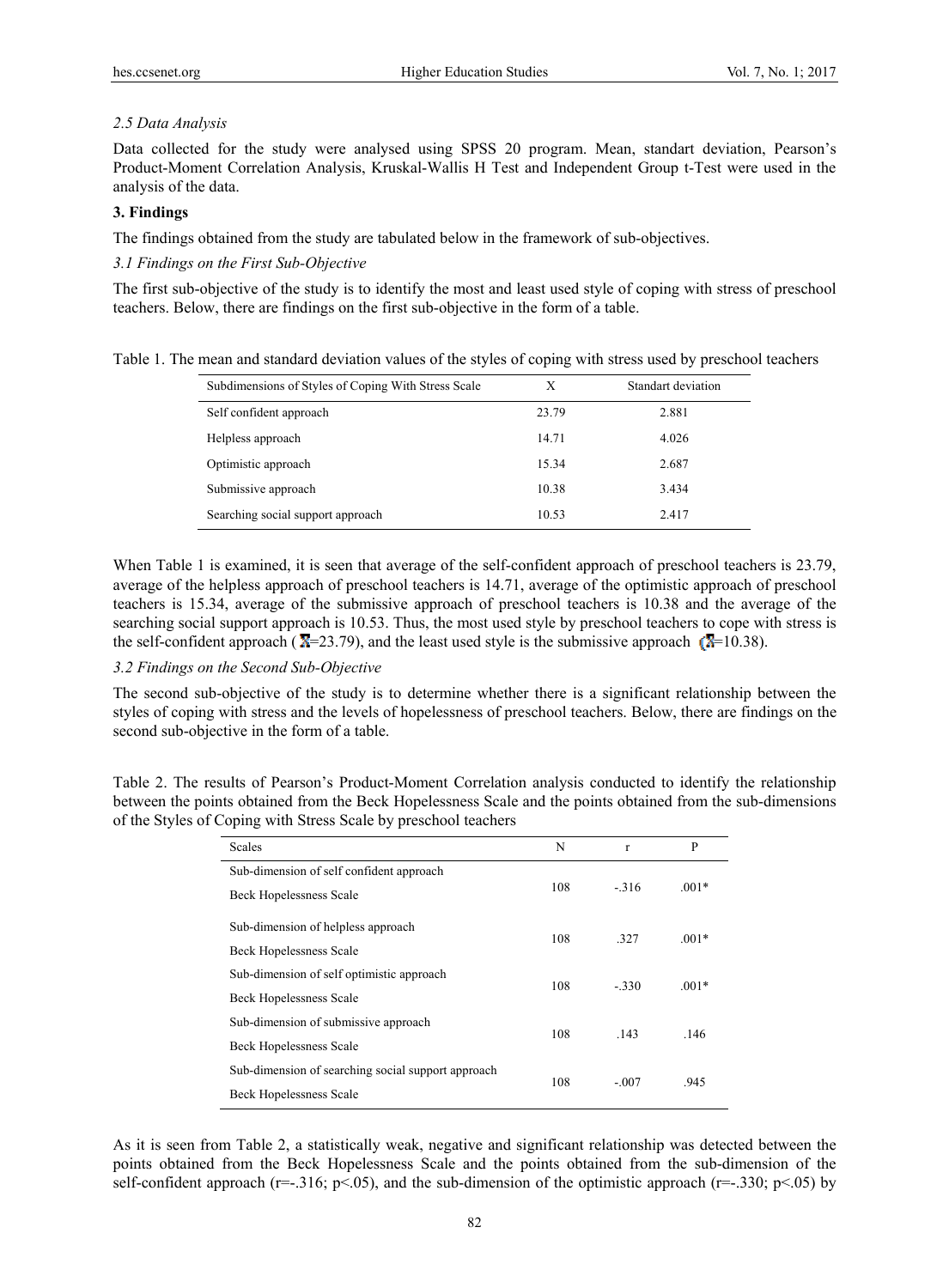#### *2.5 Data Analysis*

Data collected for the study were analysed using SPSS 20 program. Mean, standart deviation, Pearson's Product-Moment Correlation Analysis, Kruskal-Wallis H Test and Independent Group t-Test were used in the analysis of the data.

## **3. Findings**

The findings obtained from the study are tabulated below in the framework of sub-objectives.

## *3.1 Findings on the First Sub-Objective*

The first sub-objective of the study is to identify the most and least used style of coping with stress of preschool teachers. Below, there are findings on the first sub-objective in the form of a table.

| Subdimensions of Styles of Coping With Stress Scale | Х     | Standart deviation |
|-----------------------------------------------------|-------|--------------------|
| Self confident approach                             | 23.79 | 2.881              |
| Helpless approach                                   | 14.71 | 4.026              |
| Optimistic approach                                 | 15.34 | 2.687              |
| Submissive approach                                 | 10.38 | 3.434              |
| Searching social support approach                   | 10.53 | 2.417              |

When Table 1 is examined, it is seen that average of the self-confident approach of preschool teachers is 23.79, average of the helpless approach of preschool teachers is 14.71, average of the optimistic approach of preschool teachers is 15.34, average of the submissive approach of preschool teachers is 10.38 and the average of the searching social support approach is 10.53. Thus, the most used style by preschool teachers to cope with stress is the self-confident approach ( $\overline{X}$ =23.79), and the least used style is the submissive approach ( $\overline{X}$ =10.38).

## *3.2 Findings on the Second Sub-Objective*

The second sub-objective of the study is to determine whether there is a significant relationship between the styles of coping with stress and the levels of hopelessness of preschool teachers. Below, there are findings on the second sub-objective in the form of a table.

Table 2. The results of Pearson's Product-Moment Correlation analysis conducted to identify the relationship between the points obtained from the Beck Hopelessness Scale and the points obtained from the sub-dimensions of the Styles of Coping with Stress Scale by preschool teachers

| <b>Scales</b>                                      | N   | $\mathbf{r}$ | P       |  |
|----------------------------------------------------|-----|--------------|---------|--|
| Sub-dimension of self confident approach           |     |              |         |  |
| <b>Beck Hopelessness Scale</b>                     | 108 | $-316$       | $.001*$ |  |
| Sub-dimension of helpless approach                 |     |              |         |  |
| <b>Beck Hopelessness Scale</b>                     | 108 | 327          | $.001*$ |  |
| Sub-dimension of self optimistic approach          | 108 | $-330$       | $.001*$ |  |
| <b>Beck Hopelessness Scale</b>                     |     |              |         |  |
| Sub-dimension of submissive approach               | 108 | .143         | .146    |  |
| <b>Beck Hopelessness Scale</b>                     |     |              |         |  |
| Sub-dimension of searching social support approach | 108 | $-.007$      | .945    |  |
| <b>Beck Hopelessness Scale</b>                     |     |              |         |  |

As it is seen from Table 2, a statistically weak, negative and significant relationship was detected between the points obtained from the Beck Hopelessness Scale and the points obtained from the sub-dimension of the self-confident approach ( $r=-0.316$ ; p<.05), and the sub-dimension of the optimistic approach ( $r=-0.330$ ; p<.05) by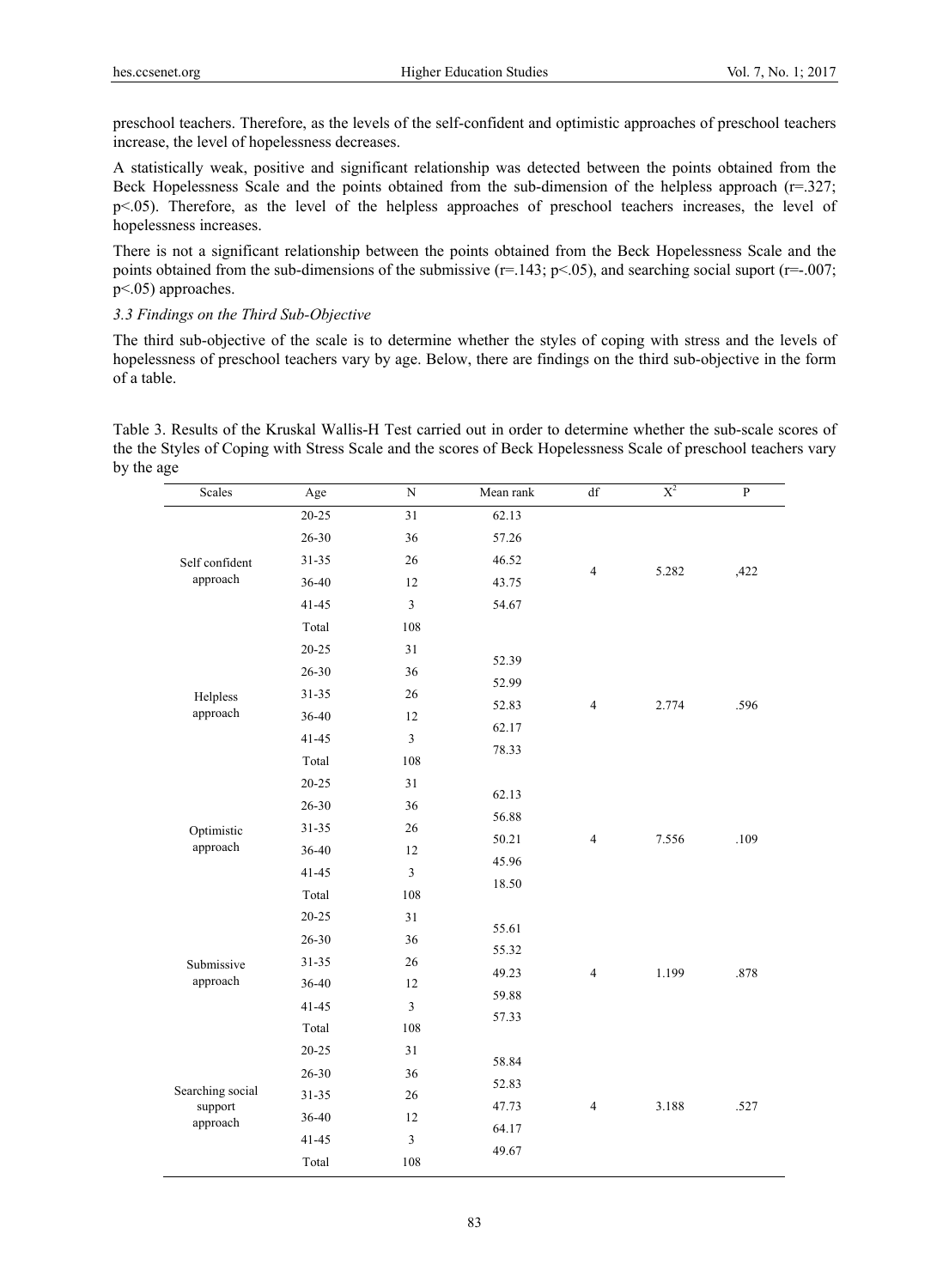preschool teachers. Therefore, as the levels of the self-confident and optimistic approaches of preschool teachers increase, the level of hopelessness decreases.

A statistically weak, positive and significant relationship was detected between the points obtained from the Beck Hopelessness Scale and the points obtained from the sub-dimension of the helpless approach ( $r=0.327$ ; p<.05). Therefore, as the level of the helpless approaches of preschool teachers increases, the level of hopelessness increases.

There is not a significant relationship between the points obtained from the Beck Hopelessness Scale and the points obtained from the sub-dimensions of the submissive  $(r=143; p<0.05)$ , and searching social suport  $(r=-0.007;$ p<.05) approaches.

#### *3.3 Findings on the Third Sub-Objective*

The third sub-objective of the scale is to determine whether the styles of coping with stress and the levels of hopelessness of preschool teachers vary by age. Below, there are findings on the third sub-objective in the form of a table.

Table 3. Results of the Kruskal Wallis-H Test carried out in order to determine whether the sub-scale scores of the the Styles of Coping with Stress Scale and the scores of Beck Hopelessness Scale of preschool teachers vary by the age

| Scales              | Age       | ${\rm N}$               | Mean rank      | df             | $X^2$ | ${\bf P}$ |
|---------------------|-----------|-------------------------|----------------|----------------|-------|-----------|
|                     | $20 - 25$ | 31                      | 62.13          |                |       |           |
|                     | 26-30     | 36                      | 57.26          |                |       |           |
| Self confident      | 31-35     | 26                      | 46.52          | $\overline{4}$ | 5.282 | ,422      |
| approach            | 36-40     | 12                      | 43.75          |                |       |           |
|                     | $41 - 45$ | $\overline{3}$          | 54.67          |                |       |           |
|                     | Total     | 108                     |                |                |       |           |
|                     | $20 - 25$ | 31                      | 52.39          |                |       |           |
|                     | 26-30     | 36                      | 52.99          |                |       |           |
| Helpless            | $31 - 35$ | 26                      | 52.83          | $\overline{4}$ | 2.774 | .596      |
| approach            | 36-40     | 12                      | 62.17          |                |       |           |
|                     | $41 - 45$ | 3                       | 78.33          |                |       |           |
|                     | Total     | 108                     |                |                |       |           |
|                     | $20 - 25$ | 31                      | 62.13          |                |       |           |
|                     | 26-30     | 36                      | 56.88<br>50.21 |                | 7.556 |           |
| Optimistic          | $31 - 35$ | 26                      |                | $\overline{4}$ |       | .109      |
| approach            | 36-40     | 12                      | 45.96          |                |       |           |
|                     | $41 - 45$ | 3                       | 18.50          |                |       |           |
|                     | Total     | 108                     |                |                |       |           |
|                     | $20 - 25$ | 31                      | 55.61          |                |       |           |
|                     | 26-30     | 36                      | 55.32          |                |       |           |
| Submissive          | $31 - 35$ | 26                      | 49.23          | $\overline{4}$ | 1.199 | .878      |
| approach            | 36-40     | 12                      | 59.88          |                |       |           |
|                     | $41 - 45$ | $\overline{\mathbf{3}}$ | 57.33          |                |       |           |
|                     | Total     | 108                     |                |                |       |           |
|                     | $20 - 25$ | 31                      | 58.84          |                |       |           |
|                     | 26-30     | 36                      | 52.83          |                |       |           |
| Searching social    | 31-35     | $26\,$                  | 47.73          | $\overline{4}$ |       | .527      |
| support<br>approach | 36-40     | 12                      | 64.17          |                | 3.188 |           |
|                     | $41 - 45$ | $\mathfrak{Z}$          |                |                |       |           |
|                     | Total     | 108                     | 49.67          |                |       |           |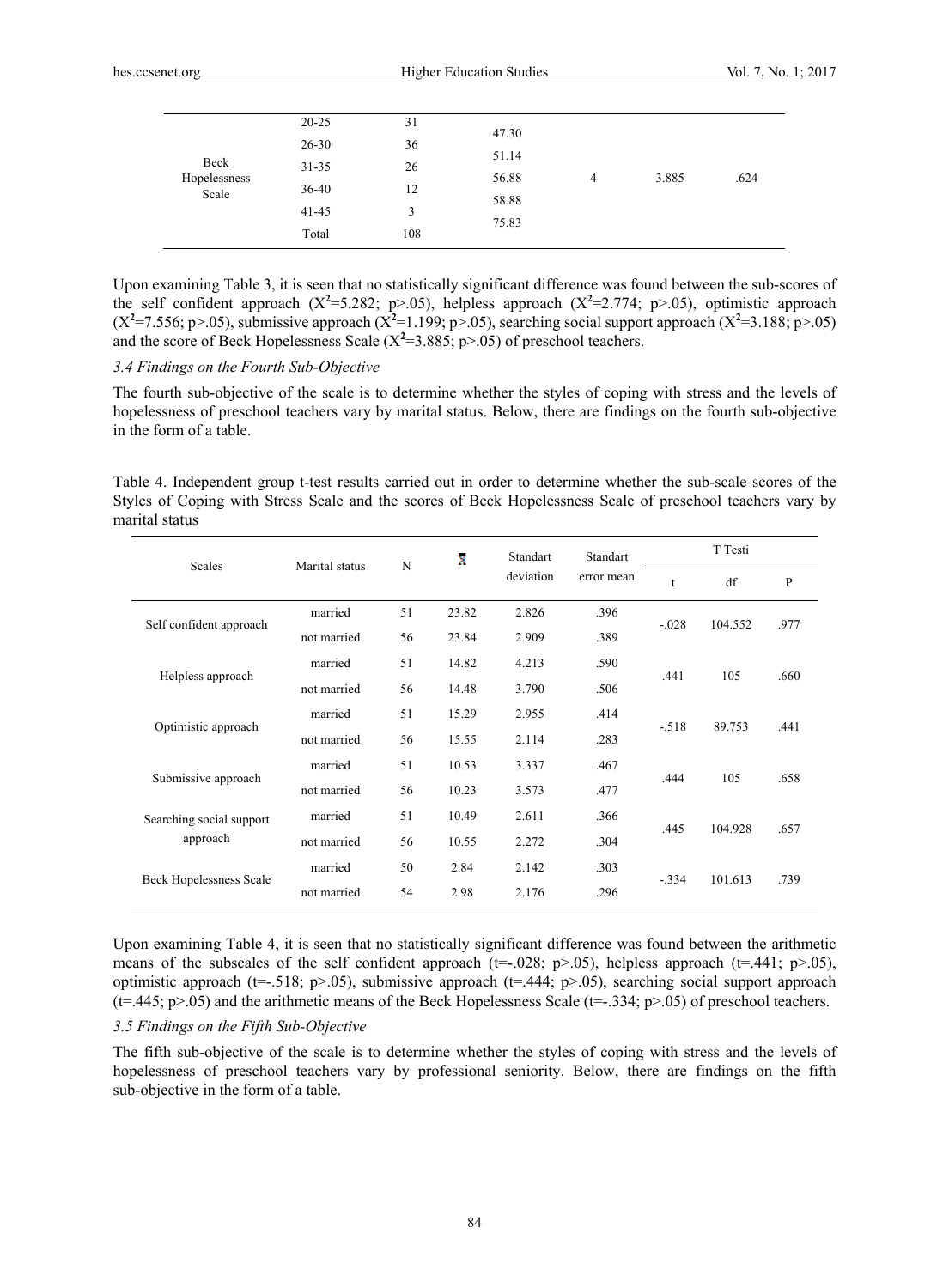|              | $20 - 25$ | 31  | 47.30<br>51.14<br>56.88 |   |       |      |
|--------------|-----------|-----|-------------------------|---|-------|------|
|              | $26 - 30$ | 36  |                         |   |       | .624 |
| Beck         | $31 - 35$ | 26  |                         |   |       |      |
| Hopelessness |           |     |                         | 4 | 3.885 |      |
| Scale        | 36-40     | 12  | 58.88                   |   |       |      |
|              | $41 - 45$ | 3   | 75.83                   |   |       |      |
|              | Total     | 108 |                         |   |       |      |

Upon examining Table 3, it is seen that no statistically significant difference was found between the sub-scores of the self confident approach  $(X^2=5.282; p>0.05)$ , helpless approach  $(X^2=2.774; p>0.05)$ , optimistic approach ( $X^2$ =7.556; p>.05), submissive approach ( $X^2$ =1.199; p>.05), searching social support approach ( $X^2$ =3.188; p>.05) and the score of Beck Hopelessness Scale  $(X^2=3.885; p>0.05)$  of preschool teachers.

### *3.4 Findings on the Fourth Sub-Objective*

The fourth sub-objective of the scale is to determine whether the styles of coping with stress and the levels of hopelessness of preschool teachers vary by marital status. Below, there are findings on the fourth sub-objective in the form of a table.

Table 4. Independent group t-test results carried out in order to determine whether the sub-scale scores of the Styles of Coping with Stress Scale and the scores of Beck Hopelessness Scale of preschool teachers vary by marital status

| Scales                         | Marital status | N  | X     | Standart  | <b>Standart</b> | T Testi |         |      |
|--------------------------------|----------------|----|-------|-----------|-----------------|---------|---------|------|
|                                |                |    |       | deviation | error mean      | t       | df      | P    |
|                                | married        | 51 | 23.82 | 2.826     | .396            | $-.028$ | 104.552 | .977 |
| Self confident approach        | not married    | 56 | 23.84 | 2.909     | .389            |         |         |      |
|                                | married        | 51 | 14.82 | 4.213     | .590            | .441    | 105     | .660 |
| Helpless approach              | not married    | 56 | 14.48 | 3.790     | .506            |         |         |      |
|                                | married        | 51 | 15.29 | 2.955     | .414            |         | 89.753  |      |
| Optimistic approach            | not married    | 56 | 15.55 | 2.114     | .283            | $-.518$ |         | .441 |
|                                | married        | 51 | 10.53 | 3.337     | .467            |         |         |      |
| Submissive approach            | not married    | 56 | 10.23 | 3.573     | .477            | .444    | 105     | .658 |
| Searching social support       | married        | 51 | 10.49 | 2.611     | .366            |         |         |      |
| approach                       | not married    | 56 | 10.55 | 2.272     | .304            | .445    | 104.928 | .657 |
|                                | married        | 50 | 2.84  | 2.142     | .303            |         |         |      |
| <b>Beck Hopelessness Scale</b> | not married    | 54 | 2.98  | 2.176     | .296            | $-.334$ | 101.613 | .739 |

Upon examining Table 4, it is seen that no statistically significant difference was found between the arithmetic means of the subscales of the self confident approach ( $t=-.028$ ;  $p>0.05$ ), helpless approach ( $t=441$ ;  $p>0.05$ ), optimistic approach ( $t=.518$ ; p>.05), submissive approach ( $t=.444$ ; p>.05), searching social support approach  $(t=445; p>0.05)$  and the arithmetic means of the Beck Hopelessness Scale  $(t=-.334; p>0.05)$  of preschool teachers.

#### *3.5 Findings on the Fifth Sub-Objective*

The fifth sub-objective of the scale is to determine whether the styles of coping with stress and the levels of hopelessness of preschool teachers vary by professional seniority. Below, there are findings on the fifth sub-objective in the form of a table.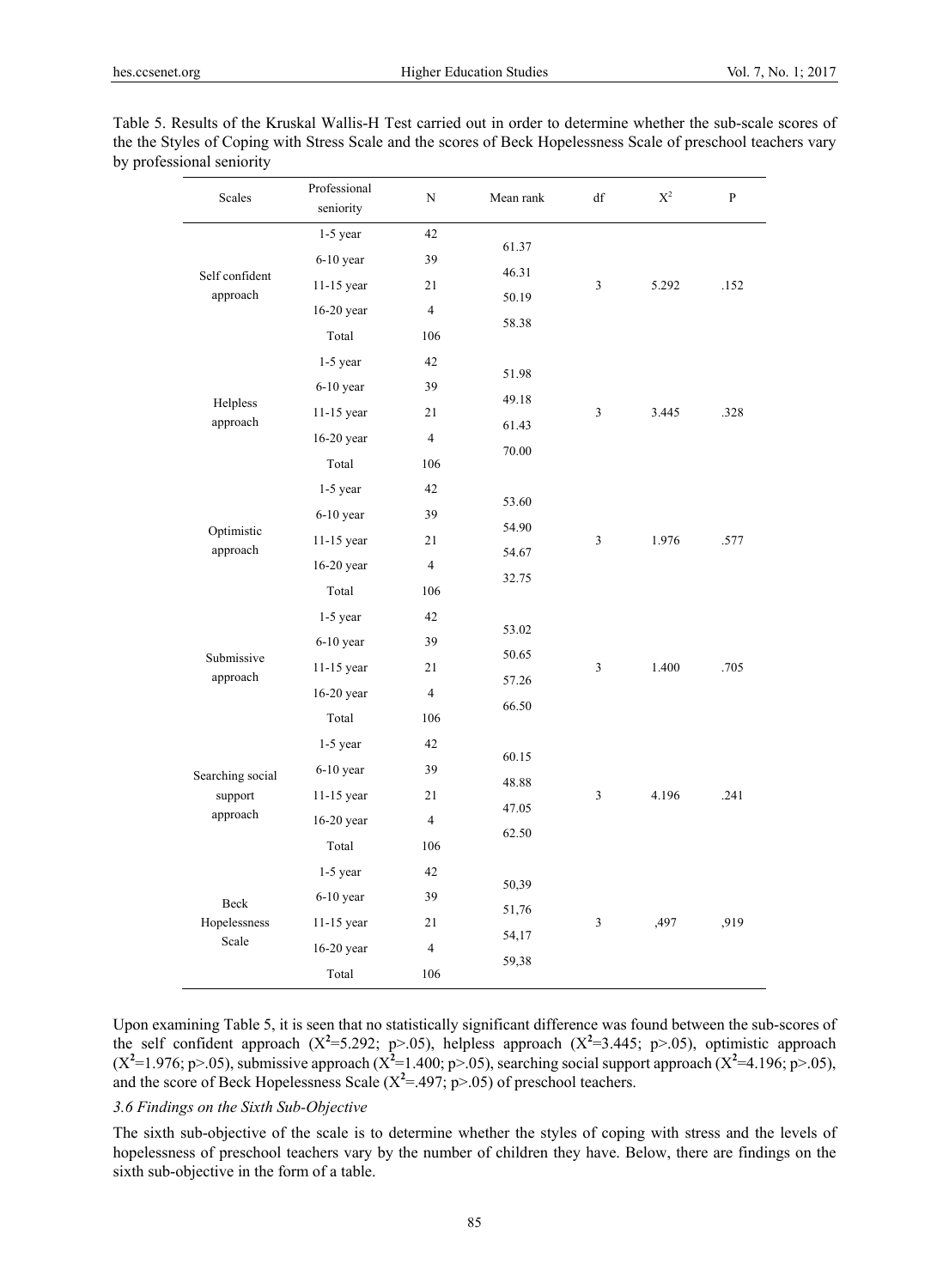| Table 5. Results of the Kruskal Wallis-H Test carried out in order to determine whether the sub-scale scores of |
|-----------------------------------------------------------------------------------------------------------------|
| the the Styles of Coping with Stress Scale and the scores of Beck Hopelessness Scale of preschool teachers vary |
| by professional seniority                                                                                       |

| Scales                     | Professional<br>seniority | N              | Mean rank | df | $\mathbf{X}^2$ | ${\bf P}$ |
|----------------------------|---------------------------|----------------|-----------|----|----------------|-----------|
|                            | $1-5$ year                | 42             | 61.37     |    |                |           |
|                            | $6-10$ year               | 39             | 46.31     |    |                |           |
| Self confident<br>approach | $11-15$ year              | 21             | 50.19     | 3  | 5.292          | .152      |
|                            | 16-20 year                | $\overline{4}$ | 58.38     |    |                |           |
|                            | Total                     | 106            |           |    |                |           |
|                            | $1-5$ year                | 42             | 51.98     |    |                |           |
|                            | $6-10$ year               | 39             | 49.18     |    |                |           |
| Helpless<br>approach       | 11-15 year                | 21             | 61.43     | 3  | 3.445          | .328      |
|                            | 16-20 year                | $\overline{4}$ | 70.00     |    |                |           |
|                            | Total                     | 106            |           |    |                |           |
|                            | $1-5$ year                | 42             | 53.60     |    |                |           |
|                            | $6-10$ year               | 39             | 54.90     |    |                |           |
| Optimistic<br>approach     | 11-15 year                | 21             | 54.67     | 3  | 1.976          | .577      |
|                            | 16-20 year                | $\overline{4}$ | 32.75     |    |                |           |
|                            | Total                     | 106            |           |    |                |           |
|                            | 1-5 year                  | 42             | 53.02     |    |                |           |
| Submissive                 | $6-10$ year               | 39             | 50.65     |    |                | .705      |
| approach                   | $11-15$ year              | 21             | 57.26     | 3  | 1.400          |           |
|                            | 16-20 year                | $\overline{4}$ | 66.50     |    |                |           |
|                            | Total                     | 106            |           |    |                |           |
|                            | $1-5$ year                | 42             | 60.15     |    |                |           |
| Searching social           | $6-10$ year               | 39             | 48.88     |    |                |           |
| support                    | $11-15$ year              | 21             | 47.05     | 3  | 4.196          | .241      |
| approach                   | $16-20$ year              | $\overline{4}$ | 62.50     |    |                |           |
|                            | Total                     | 106            |           |    |                |           |
|                            | $1-5$ year                | 42             | 50,39     |    |                |           |
| Beck                       | $6-10$ year               | 39             | 51,76     |    | ,497           |           |
| Hopelessness               | 11-15 year                | 21             | 54,17     | 3  |                | ,919      |
| Scale                      | 16-20 year                | $\overline{4}$ | 59,38     |    |                |           |
|                            | Total                     | 106            |           |    |                |           |

Upon examining Table 5, it is seen that no statistically significant difference was found between the sub-scores of the self confident approach  $(X^2=5.292; p>0.05)$ , helpless approach  $(X^2=3.445; p>0.05)$ , optimistic approach ( $X^2$ =1.976; p>.05), submissive approach ( $X^2$ =1.400; p>.05), searching social support approach ( $X^2$ =4.196; p>.05), and the score of Beck Hopelessness Scale  $(X^2 = .497; p > .05)$  of preschool teachers.

#### *3.6 Findings on the Sixth Sub-Objective*

The sixth sub-objective of the scale is to determine whether the styles of coping with stress and the levels of hopelessness of preschool teachers vary by the number of children they have. Below, there are findings on the sixth sub-objective in the form of a table.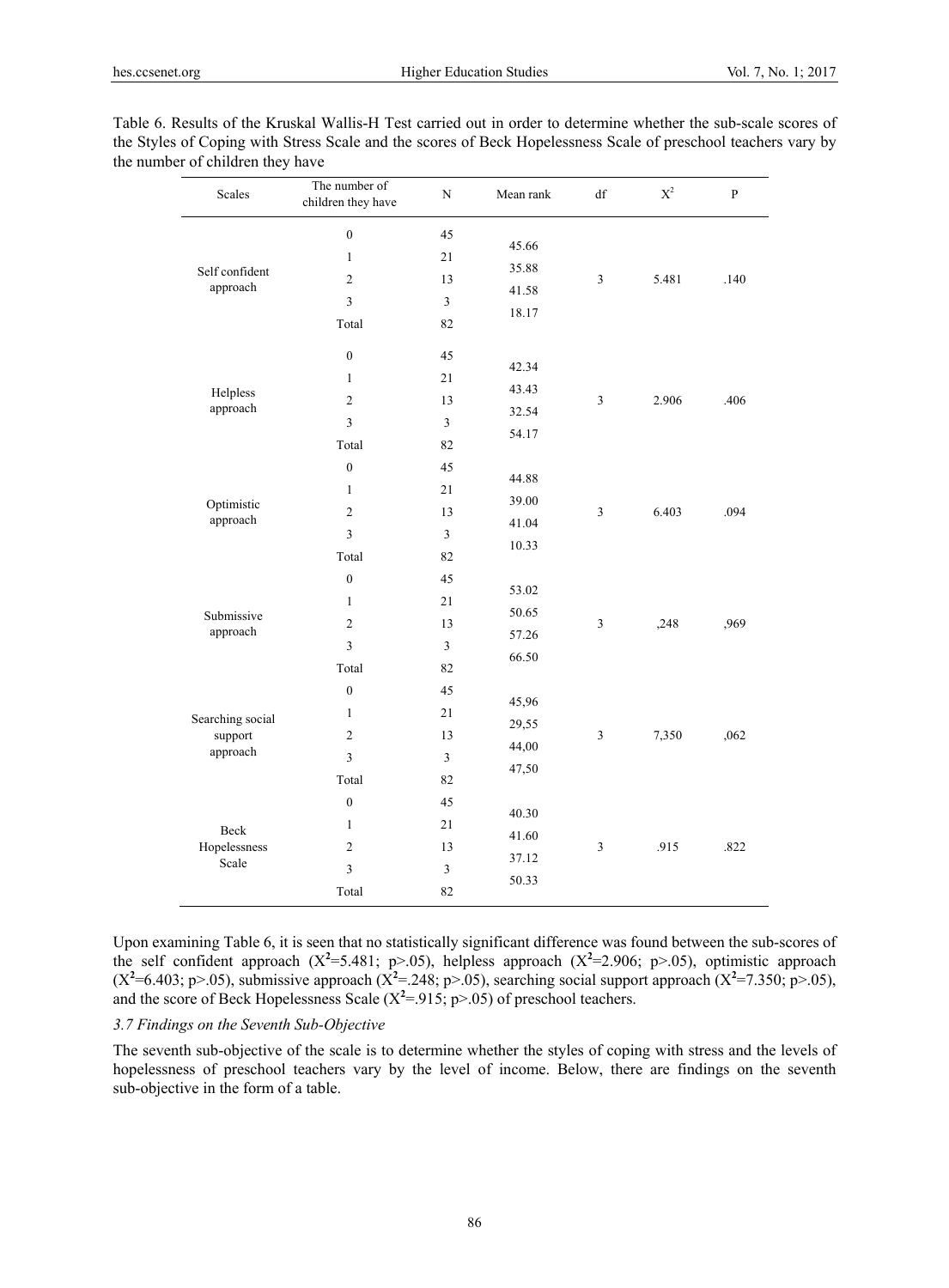| <b>Scales</b>              | The number of<br>children they have | ${\bf N}$      | Mean rank      | df         | $\mathbf{X}^2$ | $\mathbf{P}$ |  |
|----------------------------|-------------------------------------|----------------|----------------|------------|----------------|--------------|--|
|                            | $\boldsymbol{0}$                    | 45             | 45.66          |            |                |              |  |
|                            | $\mathbf{1}$                        | 21             | 35.88          |            |                |              |  |
| Self confident<br>approach | $\sqrt{2}$                          | 13             | 41.58          | $\sqrt{3}$ | 5.481          | .140         |  |
|                            | $\mathfrak{Z}$                      | $\mathfrak{Z}$ | 18.17          |            |                |              |  |
|                            | Total                               | 82             |                |            |                |              |  |
|                            | $\boldsymbol{0}$                    | 45             |                |            |                |              |  |
|                            | $\mathbf{1}$                        | 21             | 42.34          |            |                |              |  |
| Helpless<br>approach       | $\overline{2}$                      | 13             | 43.43<br>32.54 | 3          | 2.906          | .406         |  |
|                            | $\mathfrak{Z}$                      | $\overline{3}$ | 54.17          |            |                |              |  |
|                            | Total                               | 82             |                |            |                |              |  |
|                            | $\mathbf{0}$                        | 45             | 44.88          |            | 6.403          |              |  |
|                            | $\mathbf{1}$                        | 21             | 39.00          | 3          |                |              |  |
| Optimistic<br>approach     | $\sqrt{2}$                          | 13             | 41.04          |            |                | .094         |  |
|                            | $\mathfrak z$                       | $\mathfrak{Z}$ | 10.33          |            |                |              |  |
|                            | Total                               | 82             |                |            |                |              |  |
|                            | $\mathbf{0}$                        | 45             | 53.02          | 3          | ,248           |              |  |
| Submissive                 | $\mathbf{1}$                        | 21             | 50.65          |            |                | ,969         |  |
| approach                   | $\overline{2}$                      | 13             | 57.26          |            |                |              |  |
|                            | $\mathfrak z$                       | $\mathfrak{Z}$ | 66.50          |            |                |              |  |
|                            | Total                               | 82             |                |            |                |              |  |
|                            | $\mathbf{0}$                        | 45             | 45,96          |            |                |              |  |
| Searching social           | $\mathbf{1}$                        | 21             | 29,55          |            |                |              |  |
| support                    | $\sqrt{2}$                          | 13             | 44,00          | 3          | 7,350          | ,062         |  |
| approach                   | $\overline{\mathbf{3}}$             | $\mathfrak{Z}$ | 47,50          |            |                |              |  |
|                            | Total                               | 82             |                |            |                |              |  |
|                            | $\boldsymbol{0}$                    | 45             | 40.30          |            |                |              |  |
| Beck                       | $\mathbf{1}$                        | 21             | 41.60          |            |                |              |  |
| Hopelessness<br>Scale      | $\overline{2}$                      | 13             | 37.12          | 3          | .915           | .822         |  |
|                            | $\overline{\mathbf{3}}$             | $\mathfrak z$  | 50.33          |            |                |              |  |
|                            | Total                               | 82             |                |            |                |              |  |

Table 6. Results of the Kruskal Wallis-H Test carried out in order to determine whether the sub-scale scores of the Styles of Coping with Stress Scale and the scores of Beck Hopelessness Scale of preschool teachers vary by the number of children they have

Upon examining Table 6, it is seen that no statistically significant difference was found between the sub-scores of the self confident approach  $(X^2=5.481; p>0.05)$ , helpless approach  $(X^2=2.906; p>0.05)$ , optimistic approach  $(X^2=6.403; p>0.05)$ , submissive approach  $(X^2=248; p>0.05)$ , searching social support approach  $(X^2=7.350; p>0.05)$ , and the score of Beck Hopelessness Scale  $(X^2 = 915, p > .05)$  of preschool teachers.

# *3.7 Findings on the Seventh Sub-Objective*

The seventh sub-objective of the scale is to determine whether the styles of coping with stress and the levels of hopelessness of preschool teachers vary by the level of income. Below, there are findings on the seventh sub-objective in the form of a table.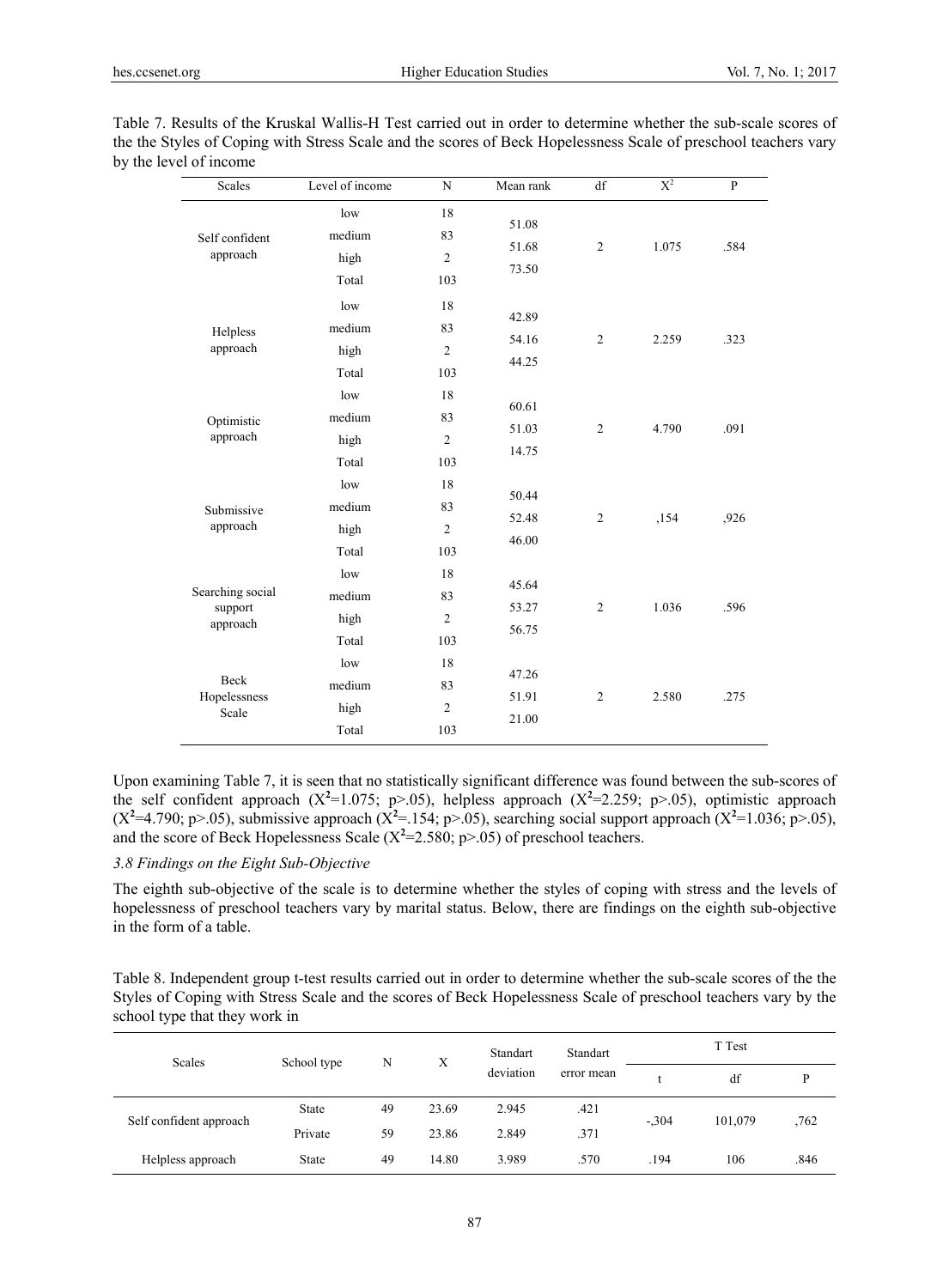| Table 7. Results of the Kruskal Wallis-H Test carried out in order to determine whether the sub-scale scores of |
|-----------------------------------------------------------------------------------------------------------------|
| the the Styles of Coping with Stress Scale and the scores of Beck Hopelessness Scale of preschool teachers vary |
| by the level of income                                                                                          |

| Scales                                  | Level of income                | $\mathbf N$                       | Mean rank               | df             | $X^2$ | $\overline{P}$ |
|-----------------------------------------|--------------------------------|-----------------------------------|-------------------------|----------------|-------|----------------|
| Self confident<br>approach              | low<br>medium<br>high<br>Total | 18<br>83<br>$\mathbf{2}$<br>103   | 51.08<br>51.68<br>73.50 | $\overline{2}$ | 1.075 | .584           |
| Helpless<br>approach                    | low<br>medium<br>high<br>Total | 18<br>83<br>$\overline{c}$<br>103 | 42.89<br>54.16<br>44.25 | $\overline{c}$ | 2.259 | .323           |
| Optimistic<br>approach                  | low<br>medium<br>high<br>Total | 18<br>83<br>$\overline{c}$<br>103 | 60.61<br>51.03<br>14.75 | $\overline{2}$ | 4.790 | .091           |
| Submissive<br>approach                  | low<br>medium<br>high<br>Total | 18<br>83<br>$\overline{2}$<br>103 | 50.44<br>52.48<br>46.00 | $\sqrt{2}$     | ,154  | ,926           |
| Searching social<br>support<br>approach | low<br>medium<br>high<br>Total | 18<br>83<br>$\overline{2}$<br>103 | 45.64<br>53.27<br>56.75 | $\overline{2}$ | 1.036 | .596           |
| Beck<br>Hopelessness<br>Scale           | low<br>medium<br>high<br>Total | 18<br>83<br>$\overline{c}$<br>103 | 47.26<br>51.91<br>21.00 | $\overline{2}$ | 2.580 | .275           |

Upon examining Table 7, it is seen that no statistically significant difference was found between the sub-scores of the self confident approach  $(X^2=1.075; p>0.05)$ , helpless approach  $(X^2=2.259; p>0.05)$ , optimistic approach  $(X^2=4.790; p>0.05)$ , submissive approach  $(X^2=154; p>0.05)$ , searching social support approach  $(X^2=1.036; p>0.05)$ , and the score of Beck Hopelessness Scale  $(X^2=2.580; p>0.05)$  of preschool teachers.

## *3.8 Findings on the Eight Sub-Objective*

The eighth sub-objective of the scale is to determine whether the styles of coping with stress and the levels of hopelessness of preschool teachers vary by marital status. Below, there are findings on the eighth sub-objective in the form of a table.

Table 8. Independent group t-test results carried out in order to determine whether the sub-scale scores of the the Styles of Coping with Stress Scale and the scores of Beck Hopelessness Scale of preschool teachers vary by the school type that they work in

| <b>Scales</b>           | School type<br>N |    | X     | Standart  | Standart   | T Test  |         |      |
|-------------------------|------------------|----|-------|-----------|------------|---------|---------|------|
|                         |                  |    |       | deviation | error mean |         | df      |      |
| Self confident approach | <b>State</b>     | 49 | 23.69 | 2.945     | .421       | $-.304$ | 101,079 | ,762 |
|                         | Private          | 59 | 23.86 | 2.849     | .371       |         |         |      |
| Helpless approach       | <b>State</b>     | 49 | 14.80 | 3.989     | .570       | .194    | 106     | .846 |

87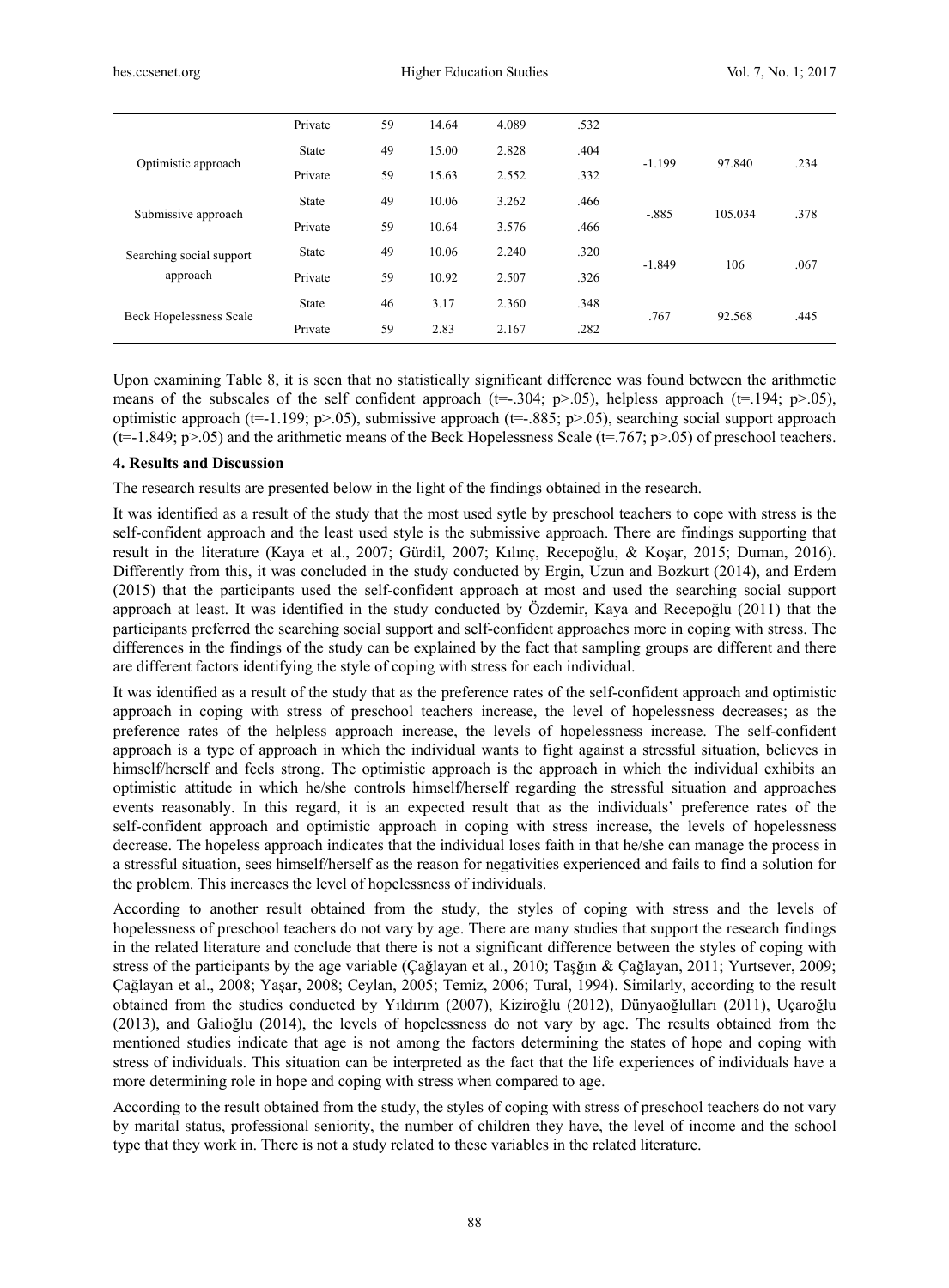|                                      | Private      | 59 | 14.64 | 4.089 | .532 |          |         |      |
|--------------------------------------|--------------|----|-------|-------|------|----------|---------|------|
| Optimistic approach                  | <b>State</b> | 49 | 15.00 | 2.828 | .404 | $-1.199$ | 97.840  | .234 |
|                                      | Private      | 59 | 15.63 | 2.552 | .332 |          |         |      |
| Submissive approach                  | <b>State</b> | 49 | 10.06 | 3.262 | .466 | $-.885$  | 105.034 | .378 |
|                                      | Private      | 59 | 10.64 | 3.576 | .466 |          |         |      |
| Searching social support<br>approach | <b>State</b> | 49 | 10.06 | 2.240 | .320 | $-1.849$ | 106     | .067 |
|                                      | Private      | 59 | 10.92 | 2.507 | .326 |          |         |      |
| <b>Beck Hopelessness Scale</b>       | <b>State</b> | 46 | 3.17  | 2.360 | .348 | .767     | 92.568  | .445 |
|                                      | Private      | 59 | 2.83  | 2.167 | .282 |          |         |      |

Upon examining Table 8, it is seen that no statistically significant difference was found between the arithmetic means of the subscales of the self confident approach ( $t=-304$ ;  $p>0.05$ ), helpless approach ( $t=194$ ;  $p>0.05$ ), optimistic approach ( $t=1.199$ ; p $>0.05$ ), submissive approach ( $t=-.885$ ; p $>0.05$ ), searching social support approach  $(t=1.849; p>0.05)$  and the arithmetic means of the Beck Hopelessness Scale  $(t=767; p>0.05)$  of preschool teachers.

#### **4. Results and Discussion**

The research results are presented below in the light of the findings obtained in the research.

It was identified as a result of the study that the most used sytle by preschool teachers to cope with stress is the self-confident approach and the least used style is the submissive approach. There are findings supporting that result in the literature (Kaya et al., 2007; Gürdil, 2007; Kılınç, Recepoğlu, & Koşar, 2015; Duman, 2016). Differently from this, it was concluded in the study conducted by Ergin, Uzun and Bozkurt (2014), and Erdem (2015) that the participants used the self-confident approach at most and used the searching social support approach at least. It was identified in the study conducted by Özdemir, Kaya and Recepoğlu (2011) that the participants preferred the searching social support and self-confident approaches more in coping with stress. The differences in the findings of the study can be explained by the fact that sampling groups are different and there are different factors identifying the style of coping with stress for each individual.

It was identified as a result of the study that as the preference rates of the self-confident approach and optimistic approach in coping with stress of preschool teachers increase, the level of hopelessness decreases; as the preference rates of the helpless approach increase, the levels of hopelessness increase. The self-confident approach is a type of approach in which the individual wants to fight against a stressful situation, believes in himself/herself and feels strong. The optimistic approach is the approach in which the individual exhibits an optimistic attitude in which he/she controls himself/herself regarding the stressful situation and approaches events reasonably. In this regard, it is an expected result that as the individuals' preference rates of the self-confident approach and optimistic approach in coping with stress increase, the levels of hopelessness decrease. The hopeless approach indicates that the individual loses faith in that he/she can manage the process in a stressful situation, sees himself/herself as the reason for negativities experienced and fails to find a solution for the problem. This increases the level of hopelessness of individuals.

According to another result obtained from the study, the styles of coping with stress and the levels of hopelessness of preschool teachers do not vary by age. There are many studies that support the research findings in the related literature and conclude that there is not a significant difference between the styles of coping with stress of the participants by the age variable (Çağlayan et al., 2010; Taşğın & Çağlayan, 2011; Yurtsever, 2009; Çağlayan et al., 2008; Yaşar, 2008; Ceylan, 2005; Temiz, 2006; Tural, 1994). Similarly, according to the result obtained from the studies conducted by Yıldırım (2007), Kiziroğlu (2012), Dünyaoğlulları (2011), Uçaroğlu (2013), and Galioğlu (2014), the levels of hopelessness do not vary by age. The results obtained from the mentioned studies indicate that age is not among the factors determining the states of hope and coping with stress of individuals. This situation can be interpreted as the fact that the life experiences of individuals have a more determining role in hope and coping with stress when compared to age.

According to the result obtained from the study, the styles of coping with stress of preschool teachers do not vary by marital status, professional seniority, the number of children they have, the level of income and the school type that they work in. There is not a study related to these variables in the related literature.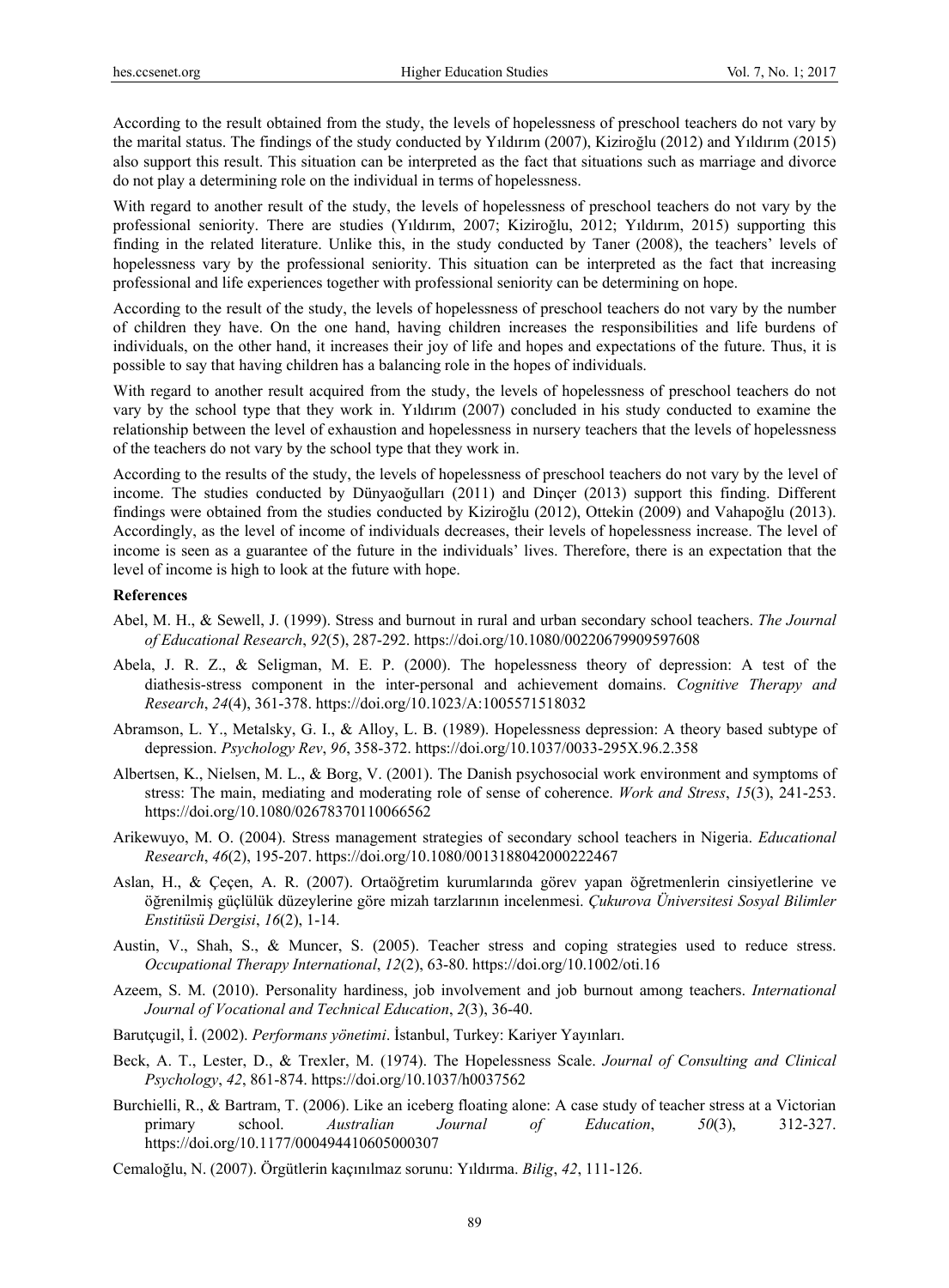According to the result obtained from the study, the levels of hopelessness of preschool teachers do not vary by the marital status. The findings of the study conducted by Yıldırım (2007), Kiziroğlu (2012) and Yıldırım (2015) also support this result. This situation can be interpreted as the fact that situations such as marriage and divorce do not play a determining role on the individual in terms of hopelessness.

With regard to another result of the study, the levels of hopelessness of preschool teachers do not vary by the professional seniority. There are studies (Yıldırım, 2007; Kiziroğlu, 2012; Yıldırım, 2015) supporting this finding in the related literature. Unlike this, in the study conducted by Taner (2008), the teachers' levels of hopelessness vary by the professional seniority. This situation can be interpreted as the fact that increasing professional and life experiences together with professional seniority can be determining on hope.

According to the result of the study, the levels of hopelessness of preschool teachers do not vary by the number of children they have. On the one hand, having children increases the responsibilities and life burdens of individuals, on the other hand, it increases their joy of life and hopes and expectations of the future. Thus, it is possible to say that having children has a balancing role in the hopes of individuals.

With regard to another result acquired from the study, the levels of hopelessness of preschool teachers do not vary by the school type that they work in. Yıldırım (2007) concluded in his study conducted to examine the relationship between the level of exhaustion and hopelessness in nursery teachers that the levels of hopelessness of the teachers do not vary by the school type that they work in.

According to the results of the study, the levels of hopelessness of preschool teachers do not vary by the level of income. The studies conducted by Dünyaoğulları (2011) and Dinçer (2013) support this finding. Different findings were obtained from the studies conducted by Kiziroğlu (2012), Ottekin (2009) and Vahapoğlu (2013). Accordingly, as the level of income of individuals decreases, their levels of hopelessness increase. The level of income is seen as a guarantee of the future in the individuals' lives. Therefore, there is an expectation that the level of income is high to look at the future with hope.

#### **References**

- Abel, M. H., & Sewell, J. (1999). Stress and burnout in rural and urban secondary school teachers. *The Journal of Educational Research*, *92*(5), 287-292. https://doi.org/10.1080/00220679909597608
- Abela, J. R. Z., & Seligman, M. E. P. (2000). The hopelessness theory of depression: A test of the diathesis-stress component in the inter-personal and achievement domains. *Cognitive Therapy and Research*, *24*(4), 361-378. https://doi.org/10.1023/A:1005571518032
- Abramson, L. Y., Metalsky, G. I., & Alloy, L. B. (1989). Hopelessness depression: A theory based subtype of depression. *Psychology Rev*, *96*, 358-372. https://doi.org/10.1037/0033-295X.96.2.358
- Albertsen, K., Nielsen, M. L., & Borg, V. (2001). The Danish psychosocial work environment and symptoms of stress: The main, mediating and moderating role of sense of coherence. *Work and Stress*, *15*(3), 241-253. https://doi.org/10.1080/02678370110066562
- Arikewuyo, M. O. (2004). Stress management strategies of secondary school teachers in Nigeria. *Educational Research*, *46*(2), 195-207. https://doi.org/10.1080/0013188042000222467
- Aslan, H., & Çeçen, A. R. (2007). Ortaöğretim kurumlarında görev yapan öğretmenlerin cinsiyetlerine ve öğrenilmiş güçlülük düzeylerine göre mizah tarzlarının incelenmesi. *Çukurova Üniversitesi Sosyal Bilimler Enstitüsü Dergisi*, *16*(2), 1-14.
- Austin, V., Shah, S., & Muncer, S. (2005). Teacher stress and coping strategies used to reduce stress. *Occupational Therapy International*, *12*(2), 63-80. https://doi.org/10.1002/oti.16
- Azeem, S. M. (2010). Personality hardiness, job involvement and job burnout among teachers. *International Journal of Vocational and Technical Education*, *2*(3), 36-40.
- Barutçugil, İ. (2002). *Performans yönetimi*. İstanbul, Turkey: Kariyer Yayınları.
- Beck, A. T., Lester, D., & Trexler, M. (1974). The Hopelessness Scale. *Journal of Consulting and Clinical Psychology*, *42*, 861-874. https://doi.org/10.1037/h0037562
- Burchielli, R., & Bartram, T. (2006). Like an iceberg floating alone: A case study of teacher stress at a Victorian primary school. *Australian Journal of Education*, *50*(3), 312-327. https://doi.org/10.1177/000494410605000307
- Cemaloğlu, N. (2007). Örgütlerin kaçınılmaz sorunu: Yıldırma. *Bilig*, *42*, 111-126.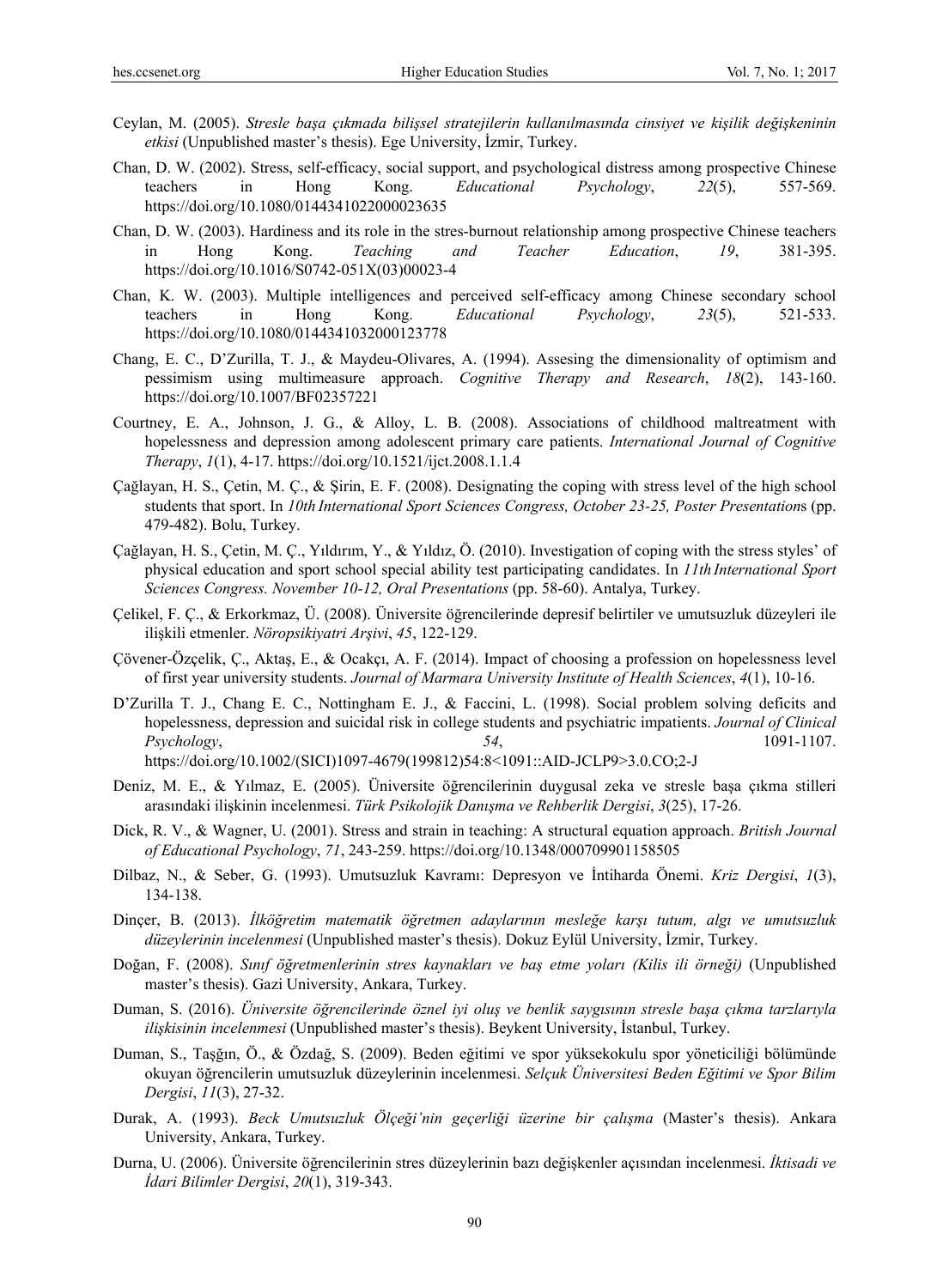- Ceylan, M. (2005). *Stresle başa çıkmada bilişsel stratejilerin kullanılmasında cinsiyet ve kişilik değişkeninin etkisi* (Unpublished master's thesis). Ege University, İzmir, Turkey.
- Chan, D. W. (2002). Stress, self-efficacy, social support, and psychological distress among prospective Chinese teachers in Hong Kong. *Educational Psychology*, *22*(5), 557-569. https://doi.org/10.1080/0144341022000023635
- Chan, D. W. (2003). Hardiness and its role in the stres-burnout relationship among prospective Chinese teachers in Hong Kong. *Teaching and Teacher Education*, *19*, 381-395. https://doi.org/10.1016/S0742-051X(03)00023-4
- Chan, K. W. (2003). Multiple intelligences and perceived self-efficacy among Chinese secondary school teachers in Hong Kong. *Educational Psychology*, *23*(5), 521-533. https://doi.org/10.1080/0144341032000123778
- Chang, E. C., D'Zurilla, T. J., & Maydeu-Olivares, A. (1994). Assesing the dimensionality of optimism and pessimism using multimeasure approach. *Cognitive Therapy and Research*, *18*(2), 143-160. https://doi.org/10.1007/BF02357221
- Courtney, E. A., Johnson, J. G., & Alloy, L. B. (2008). Associations of childhood maltreatment with hopelessness and depression among adolescent primary care patients. *International Journal of Cognitive Therapy*, *1*(1), 4-17. https://doi.org/10.1521/ijct.2008.1.1.4
- Çağlayan, H. S., Çetin, M. Ç., & Şirin, E. F. (2008). Designating the coping with stress level of the high school students that sport. In *10th International Sport Sciences Congress, October 23-25, Poster Presentation*s (pp. 479-482). Bolu, Turkey.
- Çağlayan, H. S., Çetin, M. Ç., Yıldırım, Y., & Yıldız, Ö. (2010). Investigation of coping with the stress styles' of physical education and sport school special ability test participating candidates. In *11th International Sport Sciences Congress. November 10-12, Oral Presentations* (pp. 58-60). Antalya, Turkey.
- Çelikel, F. Ç., & Erkorkmaz, Ü. (2008). Üniversite öğrencilerinde depresif belirtiler ve umutsuzluk düzeyleri ile ilişkili etmenler. *Nöropsikiyatri Arşivi*, *45*, 122-129.
- Çövener-Özçelik, Ç., Aktaş, E., & Ocakçı, A. F. (2014). Impact of choosing a profession on hopelessness level of first year university students. *Journal of Marmara University Institute of Health Sciences*, *4*(1), 10-16.
- D'Zurilla T. J., Chang E. C., Nottingham E. J., & Faccini, L. (1998). Social problem solving deficits and hopelessness, depression and suicidal risk in college students and psychiatric impatients. *Journal of Clinical Psychology*, *54*, 1091-1107. https://doi.org/10.1002/(SICI)1097-4679(199812)54:8<1091::AID-JCLP9>3.0.CO;2-J
- Deniz, M. E., & Yılmaz, E. (2005). Üniversite öğrencilerinin duygusal zeka ve stresle başa çıkma stilleri arasındaki ilişkinin incelenmesi. *Türk Psikolojik Danışma ve Rehberlik Dergisi*, *3*(25), 17-26.
- Dick, R. V., & Wagner, U. (2001). Stress and strain in teaching: A structural equation approach. *British Journal of Educational Psychology*, *71*, 243-259. https://doi.org/10.1348/000709901158505
- Dilbaz, N., & Seber, G. (1993). Umutsuzluk Kavramı: Depresyon ve İntiharda Önemi. *Kriz Dergisi*, *1*(3), 134-138.
- Dinçer, B. (2013). *İlköğretim matematik öğretmen adaylarının mesleğe karşı tutum, algı ve umutsuzluk düzeylerinin incelenmesi* (Unpublished master's thesis). Dokuz Eylül University, İzmir, Turkey.
- Doğan, F. (2008). *Sınıf öğretmenlerinin stres kaynakları ve baş etme yoları (Kilis ili örneği)* (Unpublished master's thesis). Gazi University, Ankara, Turkey.
- Duman, S. (2016). *Üniversite öğrencilerinde öznel iyi oluş ve benlik saygısının stresle başa çıkma tarzlarıyla ilişkisinin incelenmesi* (Unpublished master's thesis). Beykent University, İstanbul, Turkey.
- Duman, S., Taşğın, Ö., & Özdağ, S. (2009). Beden eğitimi ve spor yüksekokulu spor yöneticiliği bölümünde okuyan öğrencilerin umutsuzluk düzeylerinin incelenmesi. *Selçuk Üniversitesi Beden Eğitimi ve Spor Bilim Dergisi*, *11*(3), 27-32.
- Durak, A. (1993). *Beck Umutsuzluk Ölçeği'nin geçerliği üzerine bir çalışma* (Master's thesis). Ankara University, Ankara, Turkey.
- Durna, U. (2006). Üniversite öğrencilerinin stres düzeylerinin bazı değişkenler açısından incelenmesi. *İktisadi ve İdari Bilimler Dergisi*, *20*(1), 319-343.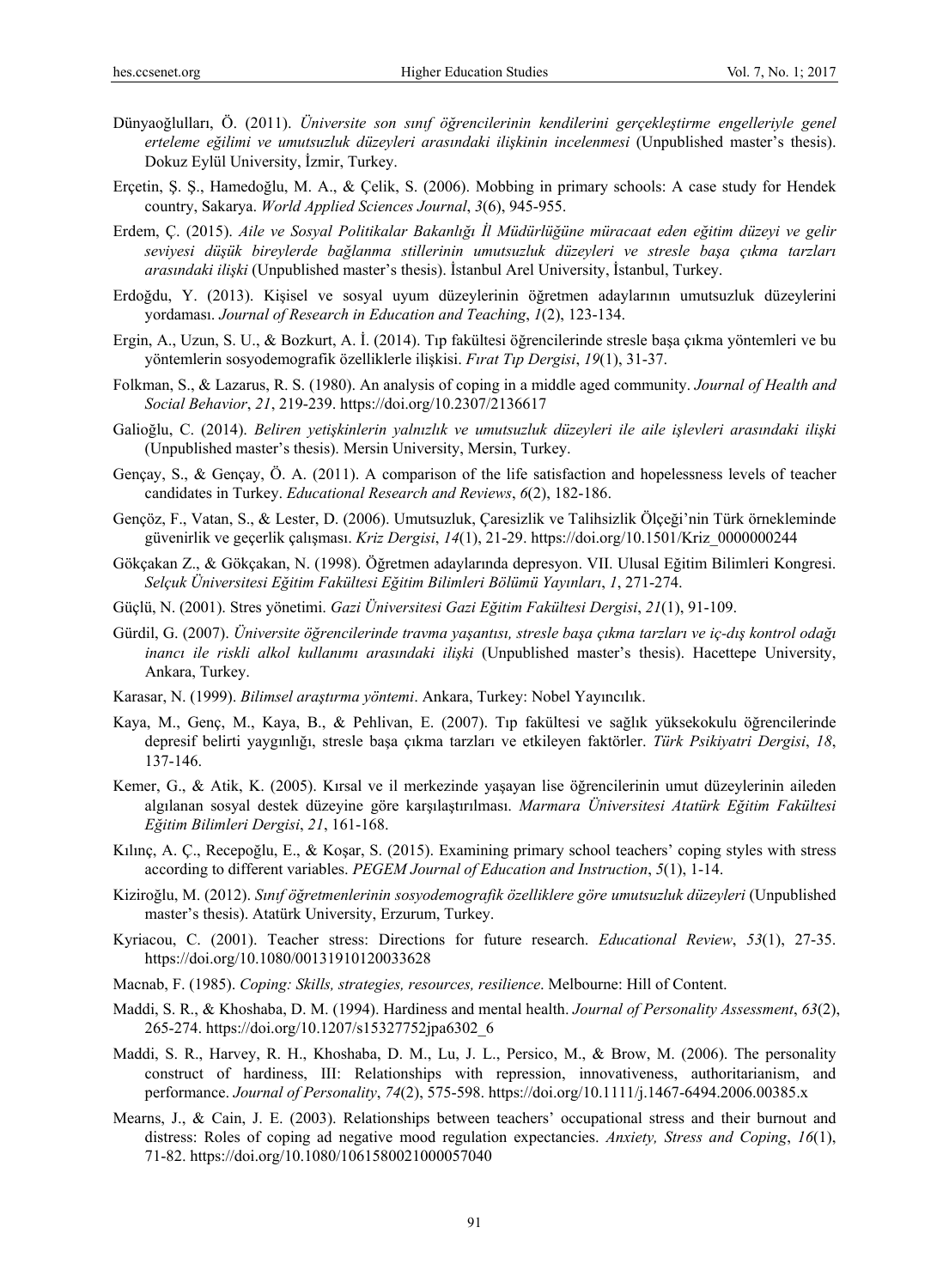- Dünyaoğlulları, Ö. (2011). *Üniversite son sınıf öğrencilerinin kendilerini gerçekleştirme engelleriyle genel erteleme eğilimi ve umutsuzluk düzeyleri arasındaki ilişkinin incelenmesi* (Unpublished master's thesis). Dokuz Eylül University, İzmir, Turkey.
- Erçetin, Ş. Ş., Hamedoğlu, M. A., & Çelik, S. (2006). Mobbing in primary schools: A case study for Hendek country, Sakarya. *World Applied Sciences Journal*, *3*(6), 945-955.
- Erdem, Ç. (2015). *Aile ve Sosyal Politikalar Bakanlığı İl Müdürlüğüne müracaat eden eğitim düzeyi ve gelir seviyesi düşük bireylerde bağlanma stillerinin umutsuzluk düzeyleri ve stresle başa çıkma tarzları arasındaki ilişki* (Unpublished master's thesis). İstanbul Arel University, İstanbul, Turkey.
- Erdoğdu, Y. (2013). Kişisel ve sosyal uyum düzeylerinin öğretmen adaylarının umutsuzluk düzeylerini yordaması. *Journal of Research in Education and Teaching*, *1*(2), 123-134.
- Ergin, A., Uzun, S. U., & Bozkurt, A. İ. (2014). Tıp fakültesi öğrencilerinde stresle başa çıkma yöntemleri ve bu yöntemlerin sosyodemografik özelliklerle ilişkisi. *Fırat Tıp Dergisi*, *19*(1), 31-37.
- Folkman, S., & Lazarus, R. S. (1980). An analysis of coping in a middle aged community. *Journal of Health and Social Behavior*, *21*, 219-239. https://doi.org/10.2307/2136617
- Galioğlu, C. (2014). *Beliren yetişkinlerin yalnızlık ve umutsuzluk düzeyleri ile aile işlevleri arasındaki ilişki*  (Unpublished master's thesis). Mersin University, Mersin, Turkey.
- Gençay, S., & Gençay, Ö. A. (2011). A comparison of the life satisfaction and hopelessness levels of teacher candidates in Turkey. *Educational Research and Reviews*, *6*(2), 182-186.
- Gençöz, F., Vatan, S., & Lester, D. (2006). Umutsuzluk, Çaresizlik ve Talihsizlik Ölçeği'nin Türk örnekleminde güvenirlik ve geçerlik çalışması. *Kriz Dergisi*, *14*(1), 21-29. https://doi.org/10.1501/Kriz\_0000000244
- Gökçakan Z., & Gökçakan, N. (1998). Öğretmen adaylarında depresyon. VII. Ulusal Eğitim Bilimleri Kongresi. *Selçuk Üniversitesi Eğitim Fakültesi Eğitim Bilimleri Bölümü Yayınları*, *1*, 271-274.
- Güçlü, N. (2001). Stres yönetimi. *Gazi Üniversitesi Gazi Eğitim Fakültesi Dergisi*, *21*(1), 91-109.
- Gürdil, G. (2007). *Üniversite öğrencilerinde travma yaşantısı, stresle başa çıkma tarzları ve iç-dış kontrol odağı inancı ile riskli alkol kullanımı arasındaki ilişki* (Unpublished master's thesis). Hacettepe University, Ankara, Turkey.
- Karasar, N. (1999). *Bilimsel araştırma yöntemi*. Ankara, Turkey: Nobel Yayıncılık.
- Kaya, M., Genç, M., Kaya, B., & Pehlivan, E. (2007). Tıp fakültesi ve sağlık yüksekokulu öğrencilerinde depresif belirti yaygınlığı, stresle başa çıkma tarzları ve etkileyen faktörler. *Türk Psikiyatri Dergisi*, *18*, 137-146.
- Kemer, G., & Atik, K. (2005). Kırsal ve il merkezinde yaşayan lise öğrencilerinin umut düzeylerinin aileden algılanan sosyal destek düzeyine göre karşılaştırılması. *Marmara Üniversitesi Atatürk Eğitim Fakültesi Eğitim Bilimleri Dergisi*, *21*, 161-168.
- Kılınç, A. Ç., Recepoğlu, E., & Koşar, S. (2015). Examining primary school teachers' coping styles with stress according to different variables. *PEGEM Journal of Education and Instruction*, *5*(1), 1-14.
- Kiziroğlu, M. (2012). *Sınıf öğretmenlerinin sosyodemografik özelliklere göre umutsuzluk düzeyleri* (Unpublished master's thesis). Atatürk University, Erzurum, Turkey.
- Kyriacou, C. (2001). Teacher stress: Directions for future research. *Educational Review*, *53*(1), 27-35. https://doi.org/10.1080/00131910120033628
- Macnab, F. (1985). *Coping: Skills, strategies, resources, resilience*. Melbourne: Hill of Content.
- Maddi, S. R., & Khoshaba, D. M. (1994). Hardiness and mental health. *Journal of Personality Assessment*, *63*(2), 265-274. https://doi.org/10.1207/s15327752jpa6302\_6
- Maddi, S. R., Harvey, R. H., Khoshaba, D. M., Lu, J. L., Persico, M., & Brow, M. (2006). The personality construct of hardiness, III: Relationships with repression, innovativeness, authoritarianism, and performance. *Journal of Personality*, *74*(2), 575-598. https://doi.org/10.1111/j.1467-6494.2006.00385.x
- Mearns, J., & Cain, J. E. (2003). Relationships between teachers' occupational stress and their burnout and distress: Roles of coping ad negative mood regulation expectancies. *Anxiety, Stress and Coping*, *16*(1), 71-82. https://doi.org/10.1080/1061580021000057040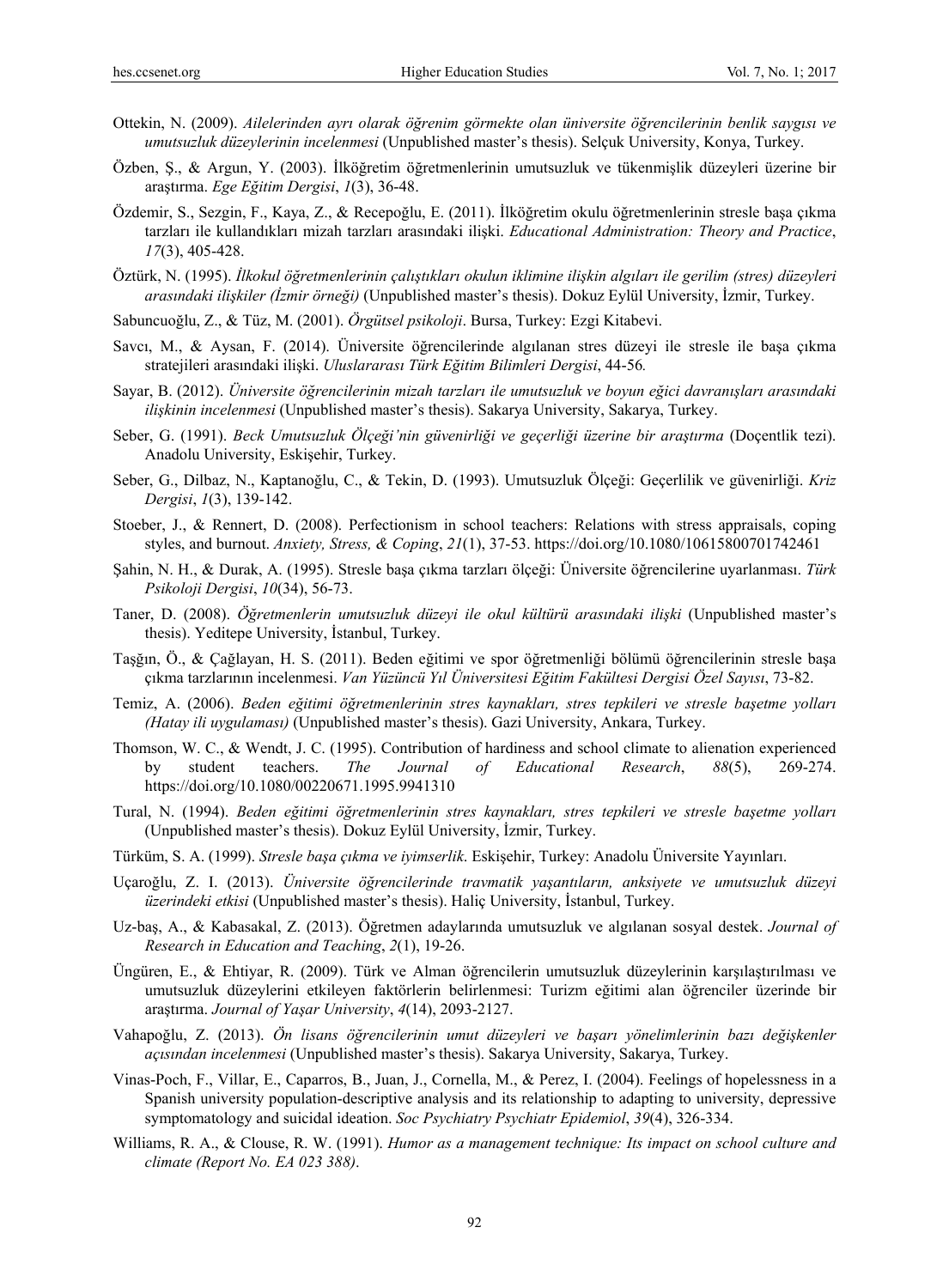- Ottekin, N. (2009). *Ailelerinden ayrı olarak öğrenim görmekte olan üniversite öğrencilerinin benlik saygısı ve umutsuzluk düzeylerinin incelenmesi* (Unpublished master's thesis). Selçuk University, Konya, Turkey.
- Özben, Ş., & Argun, Y. (2003). İlköğretim öğretmenlerinin umutsuzluk ve tükenmişlik düzeyleri üzerine bir araştırma. *Ege Eğitim Dergisi*, *1*(3), 36-48.
- Özdemir, S., Sezgin, F., Kaya, Z., & Recepoğlu, E. (2011). İlköğretim okulu öğretmenlerinin stresle başa çıkma tarzları ile kullandıkları mizah tarzları arasındaki ilişki. *Educational Administration: Theory and Practice*, *17*(3), 405-428.
- Öztürk, N. (1995). *İlkokul öğretmenlerinin çalıştıkları okulun iklimine ilişkin algıları ile gerilim (stres) düzeyleri arasındaki ilişkiler (İzmir örneği)* (Unpublished master's thesis). Dokuz Eylül University, İzmir, Turkey.
- Sabuncuoğlu, Z., & Tüz, M. (2001). *Örgütsel psikoloji*. Bursa, Turkey: Ezgi Kitabevi.
- Savcı, M., & Aysan, F. (2014). Üniversite öğrencilerinde algılanan stres düzeyi ile stresle ile başa çıkma stratejileri arasındaki ilişki. *Uluslararası Türk Eğitim Bilimleri Dergisi*, 44-56*.*
- Sayar, B. (2012). *Üniversite öğrencilerinin mizah tarzları ile umutsuzluk ve boyun eğici davranışları arasındaki ilişkinin incelenmesi* (Unpublished master's thesis). Sakarya University, Sakarya, Turkey.
- Seber, G. (1991). *Beck Umutsuzluk Ölçeği'nin güvenirliği ve geçerliği üzerine bir araştırma* (Doçentlik tezi). Anadolu University, Eskişehir, Turkey.
- Seber, G., Dilbaz, N., Kaptanoğlu, C., & Tekin, D. (1993). Umutsuzluk Ölçeği: Geçerlilik ve güvenirliği. *Kriz Dergisi*, *1*(3), 139-142.
- Stoeber, J., & Rennert, D. (2008). Perfectionism in school teachers: Relations with stress appraisals, coping styles, and burnout. *Anxiety, Stress, & Coping*, *21*(1), 37-53. https://doi.org/10.1080/10615800701742461
- Şahin, N. H., & Durak, A. (1995). Stresle başa çıkma tarzları ölçeği: Üniversite öğrencilerine uyarlanması. *Türk Psikoloji Dergisi*, *10*(34), 56-73.
- Taner, D. (2008). *Öğretmenlerin umutsuzluk düzeyi ile okul kültürü arasındaki ilişki* (Unpublished master's thesis). Yeditepe University, İstanbul, Turkey.
- Taşğın, Ö., & Çağlayan, H. S. (2011). Beden eğitimi ve spor öğretmenliği bölümü öğrencilerinin stresle başa çıkma tarzlarının incelenmesi. *Van Yüzüncü Yıl Üniversitesi Eğitim Fakültesi Dergisi Özel Sayısı*, 73-82.
- Temiz, A. (2006). *Beden eğitimi öğretmenlerinin stres kaynakları, stres tepkileri ve stresle başetme yolları (Hatay ili uygulaması)* (Unpublished master's thesis). Gazi University, Ankara, Turkey.
- Thomson, W. C., & Wendt, J. C. (1995). Contribution of hardiness and school climate to alienation experienced by student teachers. *The Journal of Educational Research*, *88*(5), 269-274. https://doi.org/10.1080/00220671.1995.9941310
- Tural, N. (1994). *Beden eğitimi öğretmenlerinin stres kaynakları, stres tepkileri ve stresle başetme yolları* (Unpublished master's thesis). Dokuz Eylül University, İzmir, Turkey.
- Türküm, S. A. (1999). *Stresle başa çıkma ve iyimserlik*. Eskişehir, Turkey: Anadolu Üniversite Yayınları.
- Uçaroğlu, Z. I. (2013). *Üniversite öğrencilerinde travmatik yaşantıların, anksiyete ve umutsuzluk düzeyi üzerindeki etkisi* (Unpublished master's thesis). Haliç University, İstanbul, Turkey.
- Uz-baş, A., & Kabasakal, Z. (2013). Öğretmen adaylarında umutsuzluk ve algılanan sosyal destek. *Journal of Research in Education and Teaching*, *2*(1), 19-26.
- Üngüren, E., & Ehtiyar, R. (2009). Türk ve Alman öğrencilerin umutsuzluk düzeylerinin karşılaştırılması ve umutsuzluk düzeylerini etkileyen faktörlerin belirlenmesi: Turizm eğitimi alan öğrenciler üzerinde bir araştırma. *Journal of Yaşar University*, *4*(14), 2093-2127.
- Vahapoğlu, Z. (2013). *Ön lisans öğrencilerinin umut düzeyleri ve başarı yönelimlerinin bazı değişkenler açısından incelenmesi* (Unpublished master's thesis). Sakarya University, Sakarya, Turkey.
- Vinas-Poch, F., Villar, E., Caparros, B., Juan, J., Cornella, M., & Perez, I. (2004). Feelings of hopelessness in a Spanish university population-descriptive analysis and its relationship to adapting to university, depressive symptomatology and suicidal ideation. *Soc Psychiatry Psychiatr Epidemiol*, *39*(4), 326-334.
- Williams, R. A., & Clouse, R. W. (1991). *Humor as a management technique: Its impact on school culture and climate (Report No. EA 023 388)*.